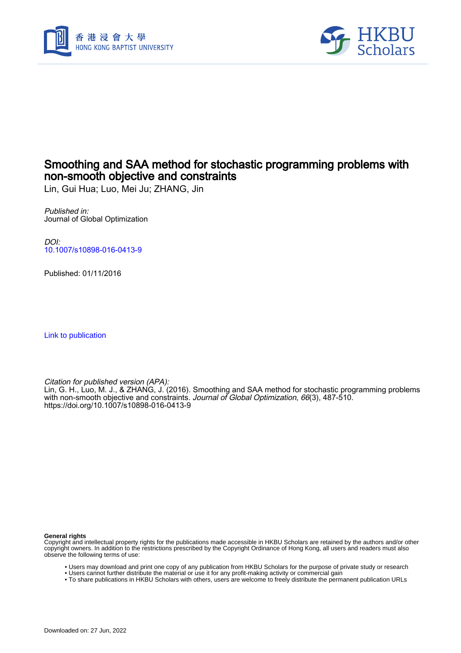



## Smoothing and SAA method for stochastic programming problems with non-smooth objective and constraints

Lin, Gui Hua; Luo, Mei Ju; ZHANG, Jin

Published in: Journal of Global Optimization

DOI: [10.1007/s10898-016-0413-9](https://doi.org/10.1007/s10898-016-0413-9)

Published: 01/11/2016

[Link to publication](https://scholars.hkbu.edu.hk/en/publications/75ba0c81-6396-4551-87cc-1080722679f2)

Citation for published version (APA):

Lin, G. H., Luo, M. J., & ZHANG, J. (2016). Smoothing and SAA method for stochastic programming problems with non-smooth objective and constraints. *Journal of Global Optimization, 66*(3), 487-510. <https://doi.org/10.1007/s10898-016-0413-9>

**General rights**

Copyright and intellectual property rights for the publications made accessible in HKBU Scholars are retained by the authors and/or other copyright owners. In addition to the restrictions prescribed by the Copyright Ordinance of Hong Kong, all users and readers must also observe the following terms of use:

- Users may download and print one copy of any publication from HKBU Scholars for the purpose of private study or research
- Users cannot further distribute the material or use it for any profit-making activity or commercial gain
- To share publications in HKBU Scholars with others, users are welcome to freely distribute the permanent publication URLs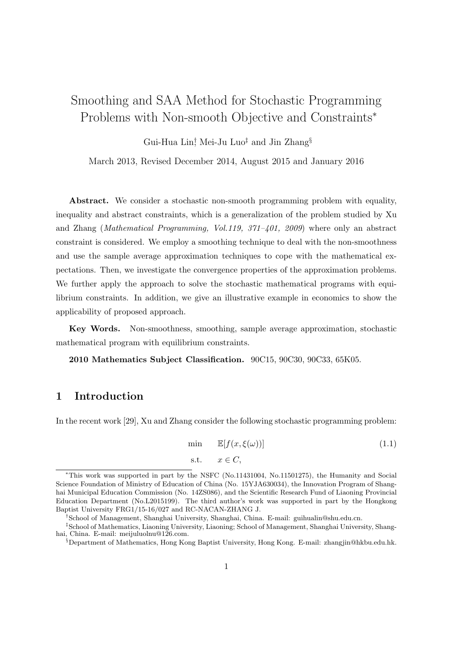# Smoothing and SAA Method for Stochastic Programming Problems with Non-smooth Objective and Constraints*<sup>∗</sup>*

Gui-Hua Lin*†* , Mei-Ju Luo*‡* and Jin Zhang*§*

March 2013, Revised December 2014, August 2015 and January 2016

Abstract. We consider a stochastic non-smooth programming problem with equality, inequality and abstract constraints, which is a generalization of the problem studied by Xu and Zhang (*Mathematical Programming, Vol.119, 371–401, 2009*) where only an abstract constraint is considered. We employ a smoothing technique to deal with the non-smoothness and use the sample average approximation techniques to cope with the mathematical expectations. Then, we investigate the convergence properties of the approximation problems. We further apply the approach to solve the stochastic mathematical programs with equilibrium constraints. In addition, we give an illustrative example in economics to show the applicability of proposed approach.

**Key Words.** Non-smoothness, smoothing, sample average approximation, stochastic mathematical program with equilibrium constraints.

**2010 Mathematics Subject Classification.** 90C15, 90C30, 90C33, 65K05.

## **1 Introduction**

In the recent work [29], Xu and Zhang consider the following stochastic programming problem:

$$
\min \quad \mathbb{E}[f(x,\xi(\omega))]
$$
\n
$$
\text{s.t.} \quad x \in C,
$$
\n
$$
(1.1)
$$

*<sup>∗</sup>*This work was supported in part by the NSFC (No.11431004, No.11501275), the Humanity and Social Science Foundation of Ministry of Education of China (No. 15YJA630034), the Innovation Program of Shanghai Municipal Education Commission (No. 14ZS086), and the Scientific Research Fund of Liaoning Provincial Education Department (No.L2015199). The third author's work was supported in part by the Hongkong Baptist University FRG1/15-16/027 and RC-NACAN-ZHANG J.

*<sup>†</sup>*School of Management, Shanghai University, Shanghai, China. E-mail: guihualin@shu.edu.cn.

*<sup>‡</sup>*School of Mathematics, Liaoning University, Liaoning; School of Management, Shanghai University, Shanghai, China. E-mail: meijuluolnu@126.com.

*<sup>§</sup>*Department of Mathematics, Hong Kong Baptist University, Hong Kong. E-mail: zhangjin@hkbu.edu.hk.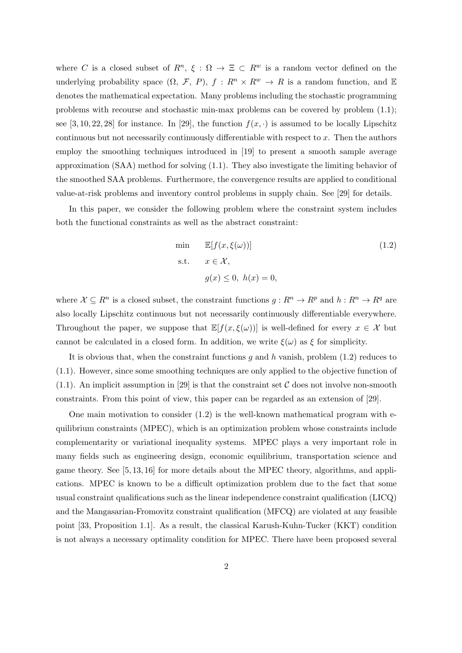where *C* is a closed subset of  $R^n$ ,  $\xi$  :  $\Omega \to \Xi \subset R^w$  is a random vector defined on the underlying probability space  $(\Omega, \mathcal{F}, P)$ ,  $f : R^n \times R^w \to R$  is a random function, and E denotes the mathematical expectation. Many problems including the stochastic programming problems with recourse and stochastic min-max problems can be covered by problem (1.1); see [3, 10, 22, 28] for instance. In [29], the function  $f(x, \cdot)$  is assumed to be locally Lipschitz continuous but not necessarily continuously differentiable with respect to *x*. Then the authors employ the smoothing techniques introduced in [19] to present a smooth sample average approximation (SAA) method for solving (1.1). They also investigate the limiting behavior of the smoothed SAA problems. Furthermore, the convergence results are applied to conditional value-at-risk problems and inventory control problems in supply chain. See [29] for details.

In this paper, we consider the following problem where the constraint system includes both the functional constraints as well as the abstract constraint:

min 
$$
\mathbb{E}[f(x, \xi(\omega))]
$$
 (1.2)  
s.t.  $x \in \mathcal{X}$ ,  
 $g(x) \le 0, h(x) = 0$ ,

where  $\mathcal{X} \subseteq R^n$  is a closed subset, the constraint functions  $g: R^n \to R^p$  and  $h: R^n \to R^q$  are also locally Lipschitz continuous but not necessarily continuously differentiable everywhere. Throughout the paper, we suppose that  $\mathbb{E}[f(x,\xi(\omega))]$  is well-defined for every  $x \in \mathcal{X}$  but cannot be calculated in a closed form. In addition, we write  $\xi(\omega)$  as  $\xi$  for simplicity.

It is obvious that, when the constraint functions *g* and *h* vanish, problem (1.2) reduces to (1.1). However, since some smoothing techniques are only applied to the objective function of  $(1.1)$ . An implicit assumption in [29] is that the constraint set  $C$  does not involve non-smooth constraints. From this point of view, this paper can be regarded as an extension of [29].

One main motivation to consider  $(1.2)$  is the well-known mathematical program with equilibrium constraints (MPEC), which is an optimization problem whose constraints include complementarity or variational inequality systems. MPEC plays a very important role in many fields such as engineering design, economic equilibrium, transportation science and game theory. See [5, 13, 16] for more details about the MPEC theory, algorithms, and applications. MPEC is known to be a difficult optimization problem due to the fact that some usual constraint qualifications such as the linear independence constraint qualification (LICQ) and the Mangasarian-Fromovitz constraint qualification (MFCQ) are violated at any feasible point [33, Proposition 1.1]. As a result, the classical Karush-Kuhn-Tucker (KKT) condition is not always a necessary optimality condition for MPEC. There have been proposed several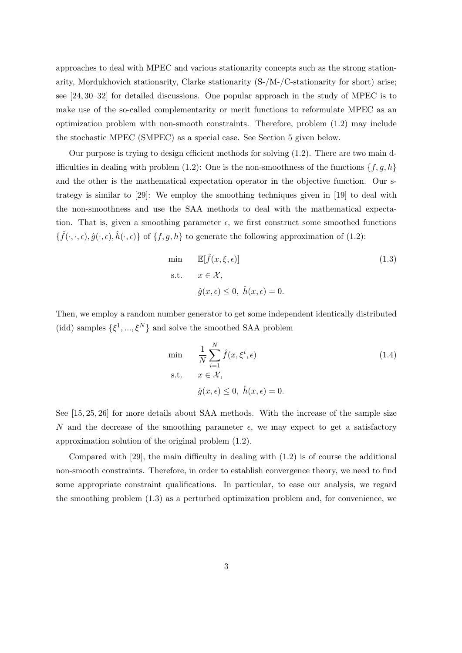approaches to deal with MPEC and various stationarity concepts such as the strong stationarity, Mordukhovich stationarity, Clarke stationarity (S-/M-/C-stationarity for short) arise; see [24, 30–32] for detailed discussions. One popular approach in the study of MPEC is to make use of the so-called complementarity or merit functions to reformulate MPEC as an optimization problem with non-smooth constraints. Therefore, problem (1.2) may include the stochastic MPEC (SMPEC) as a special case. See Section 5 given below.

Our purpose is trying to design efficient methods for solving (1.2). There are two main difficulties in dealing with problem (1.2): One is the non-smoothness of the functions  $\{f, g, h\}$ and the other is the mathematical expectation operator in the objective function. Our strategy is similar to [29]: We employ the smoothing techniques given in [19] to deal with the non-smoothness and use the SAA methods to deal with the mathematical expectation. That is, given a smoothing parameter  $\epsilon$ , we first construct some smoothed functions  $\{\hat{f}(\cdot,\cdot,\epsilon), \hat{g}(\cdot,\epsilon), \hat{h}(\cdot,\epsilon)\}\$  of  $\{f, g, h\}$  to generate the following approximation of (1.2):

min 
$$
\mathbb{E}[\hat{f}(x,\xi,\epsilon)]
$$
 (1.3)  
s.t.  $x \in \mathcal{X}$ ,  
 $\hat{g}(x,\epsilon) \le 0, \ \hat{h}(x,\epsilon) = 0.$ 

Then, we employ a random number generator to get some independent identically distributed (idd) samples  $\{\xi^1, ..., \xi^N\}$  and solve the smoothed SAA problem

$$
\min \quad \frac{1}{N} \sum_{i=1}^{N} \hat{f}(x, \xi^i, \epsilon) \tag{1.4}
$$
\n
$$
\text{s.t.} \quad x \in \mathcal{X},
$$
\n
$$
\hat{g}(x, \epsilon) \le 0, \ \hat{h}(x, \epsilon) = 0.
$$

See [15, 25, 26] for more details about SAA methods. With the increase of the sample size *N* and the decrease of the smoothing parameter  $\epsilon$ , we may expect to get a satisfactory approximation solution of the original problem (1.2).

Compared with [29], the main difficulty in dealing with (1.2) is of course the additional non-smooth constraints. Therefore, in order to establish convergence theory, we need to find some appropriate constraint qualifications. In particular, to ease our analysis, we regard the smoothing problem (1.3) as a perturbed optimization problem and, for convenience, we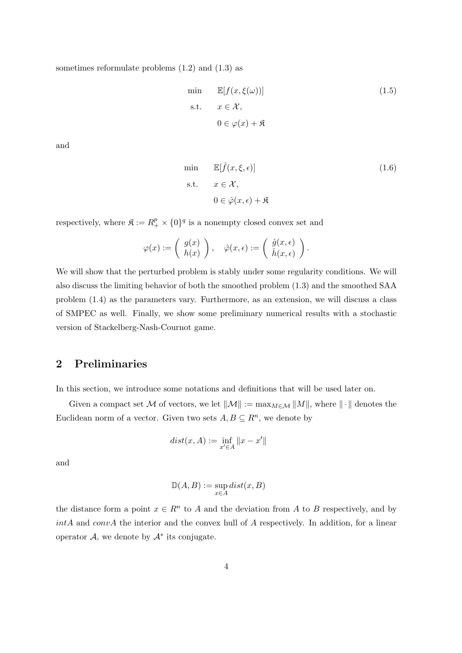sometimes reformulate problems (1.2) and (1.3) as

min 
$$
\mathbb{E}[f(x, \xi(\omega))]
$$
  
\ns.t.  $x \in \mathcal{X}$ ,  
\n $0 \in \varphi(x) + \mathfrak{K}$  (1.5)

and

min 
$$
\mathbb{E}[\hat{f}(x,\xi,\epsilon)]
$$
 (1.6)  
s.t.  $x \in \mathcal{X}$ ,  
 $0 \in \hat{\varphi}(x,\epsilon) + \mathfrak{K}$ 

respectively, where  $\mathfrak{K} := R_+^p \times \{0\}^q$  is a nonempty closed convex set and

$$
\varphi(x) := \begin{pmatrix} g(x) \\ h(x) \end{pmatrix}, \quad \hat{\varphi}(x, \epsilon) := \begin{pmatrix} \hat{g}(x, \epsilon) \\ \hat{h}(x, \epsilon) \end{pmatrix}.
$$

We will show that the perturbed problem is stably under some regularity conditions. We will also discuss the limiting behavior of both the smoothed problem (1.3) and the smoothed SAA problem (1.4) as the parameters vary. Furthermore, as an extension, we will discuss a class of SMPEC as well. Finally, we show some preliminary numerical results with a stochastic version of Stackelberg-Nash-Cournot game.

#### **2 Preliminaries**

In this section, we introduce some notations and definitions that will be used later on.

Given a compact set  $\mathcal M$  of vectors, we let  $||\mathcal M|| := \max_{M \in \mathcal M} ||M||$ , where  $|| \cdot ||$  denotes the Euclidean norm of a vector. Given two sets  $A, B \subseteq R^n$ , we denote by

$$
dist(x, A) := \inf_{x' \in A} ||x - x'||
$$

and

$$
\mathbb{D}(A, B) := \sup_{x \in A} dist(x, B)
$$

the distance form a point  $x \in R^n$  to *A* and the deviation from *A* to *B* respectively, and by *intA* and *convA* the interior and the convex hull of *A* respectively. In addition, for a linear operator  $A$ , we denote by  $A^*$  its conjugate.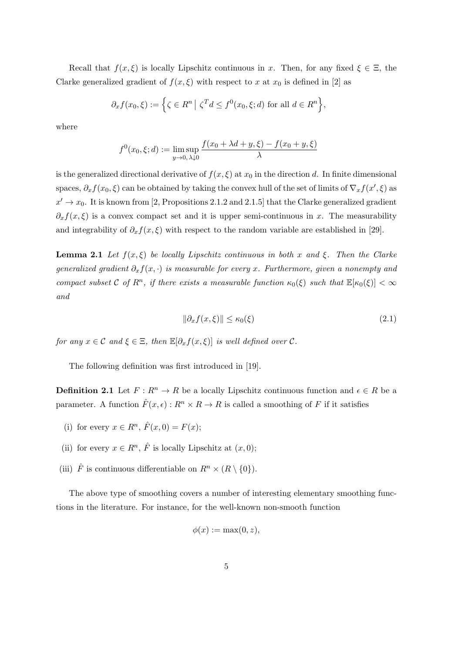Recall that  $f(x,\xi)$  is locally Lipschitz continuous in *x*. Then, for any fixed  $\xi \in \Xi$ , the Clarke generalized gradient of  $f(x,\xi)$  with respect to *x* at  $x_0$  is defined in [2] as

$$
\partial_x f(x_0, \xi) := \left\{ \zeta \in R^n \mid \zeta^T d \le f^0(x_0, \xi; d) \text{ for all } d \in R^n \right\},\
$$

where

$$
f^{0}(x_{0}, \xi; d) := \lim_{y \to 0, \lambda \downarrow 0} \frac{f(x_{0} + \lambda d + y, \xi) - f(x_{0} + y, \xi)}{\lambda}
$$

is the generalized directional derivative of  $f(x,\xi)$  at  $x_0$  in the direction *d*. In finite dimensional spaces,  $\partial_x f(x_0, \xi)$  can be obtained by taking the convex hull of the set of limits of  $\nabla_x f(x', \xi)$  as  $x' \to x_0$ . It is known from [2, Propositions 2.1.2 and 2.1.5] that the Clarke generalized gradient  $\partial_x f(x,\xi)$  is a convex compact set and it is upper semi-continuous in *x*. The measurability and integrability of  $\partial_x f(x,\xi)$  with respect to the random variable are established in [29].

**Lemma 2.1** *Let*  $f(x,\xi)$  *be locally Lipschitz continuous in both x and*  $\xi$ *. Then the Clarke generalized gradient ∂xf*(*x, ·*) *is measurable for every x. Furthermore, given a nonempty and compact subset*  $C$  *of*  $R^n$ , *if there exists a measurable function*  $\kappa_0(\xi)$  *such that*  $\mathbb{E}[\kappa_0(\xi)] < \infty$ *and*

$$
\|\partial_x f(x,\xi)\| \le \kappa_0(\xi) \tag{2.1}
$$

*for any*  $x \in \mathcal{C}$  *and*  $\xi \in \Xi$ *, then*  $\mathbb{E}[\partial_x f(x, \xi)]$  *is well defined over*  $\mathcal{C}$ *.* 

The following definition was first introduced in [19].

**Definition 2.1** Let  $F: R^n \to R$  be a locally Lipschitz continuous function and  $\epsilon \in R$  be a parameter. A function  $\hat{F}(x,\epsilon): R^n \times R \to R$  is called a smoothing of *F* if it satisfies

- (i) for every  $x \in R^n$ ,  $\hat{F}(x,0) = F(x)$ ;
- (ii) for every  $x \in R^n$ ,  $\hat{F}$  is locally Lipschitz at  $(x, 0)$ ;
- (iii)  $\hat{F}$  is continuous differentiable on  $R^n \times (R \setminus \{0\})$ .

The above type of smoothing covers a number of interesting elementary smoothing functions in the literature. For instance, for the well-known non-smooth function

$$
\phi(x) := \max(0, z),
$$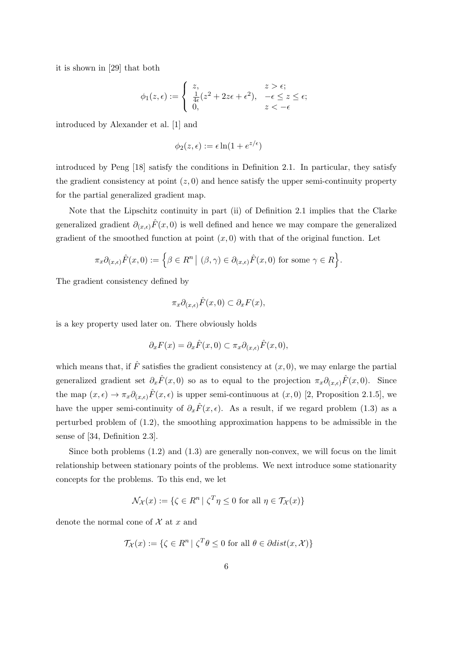it is shown in [29] that both

$$
\phi_1(z,\epsilon) := \begin{cases} z, & z > \epsilon; \\ \frac{1}{4\epsilon}(z^2 + 2z\epsilon + \epsilon^2), & -\epsilon \leq z \leq \epsilon; \\ 0, & z < -\epsilon \end{cases}
$$

introduced by Alexander et al. [1] and

$$
\phi_2(z,\epsilon) := \epsilon \ln(1 + e^{z/\epsilon})
$$

introduced by Peng [18] satisfy the conditions in Definition 2.1. In particular, they satisfy the gradient consistency at point  $(z, 0)$  and hence satisfy the upper semi-continuity property for the partial generalized gradient map.

Note that the Lipschitz continuity in part (ii) of Definition 2.1 implies that the Clarke generalized gradient  $\partial_{(x,\epsilon)}\hat{F}(x,0)$  is well defined and hence we may compare the generalized gradient of the smoothed function at point  $(x, 0)$  with that of the original function. Let

$$
\pi_x \partial_{(x,\epsilon)} \hat{F}(x,0) := \left\{ \beta \in R^n \mid (\beta, \gamma) \in \partial_{(x,\epsilon)} \hat{F}(x,0) \text{ for some } \gamma \in R \right\}.
$$

The gradient consistency defined by

$$
\pi_x \partial_{(x,\epsilon)} \hat{F}(x,0) \subset \partial_x F(x),
$$

is a key property used later on. There obviously holds

$$
\partial_x F(x) = \partial_x \hat{F}(x,0) \subset \pi_x \partial_{(x,\epsilon)} \hat{F}(x,0),
$$

which means that, if  $\hat{F}$  satisfies the gradient consistency at  $(x, 0)$ , we may enlarge the partial generalized gradient set  $\partial_x \hat{F}(x,0)$  so as to equal to the projection  $\pi_x \partial_{(x,\epsilon)} \hat{F}(x,0)$ . Since the map  $(x, \epsilon) \to \pi_x \partial_{(x, \epsilon)} \hat{F}(x, \epsilon)$  is upper semi-continuous at  $(x, 0)$  [2, Proposition 2.1.5], we have the upper semi-continuity of  $\partial_x \hat{F}(x, \epsilon)$ . As a result, if we regard problem (1.3) as a perturbed problem of (1.2), the smoothing approximation happens to be admissible in the sense of [34, Definition 2.3].

Since both problems (1.2) and (1.3) are generally non-convex, we will focus on the limit relationship between stationary points of the problems. We next introduce some stationarity concepts for the problems. To this end, we let

$$
\mathcal{N}_{\mathcal{X}}(x) := \{ \zeta \in R^n \mid \zeta^T \eta \le 0 \text{ for all } \eta \in \mathcal{T}_{\mathcal{X}}(x) \}
$$

denote the normal cone of *X* at *x* and

$$
\mathcal{T}_{\mathcal{X}}(x) := \{ \zeta \in R^n \mid \zeta^T \theta \le 0 \text{ for all } \theta \in \partial dist(x, \mathcal{X}) \}
$$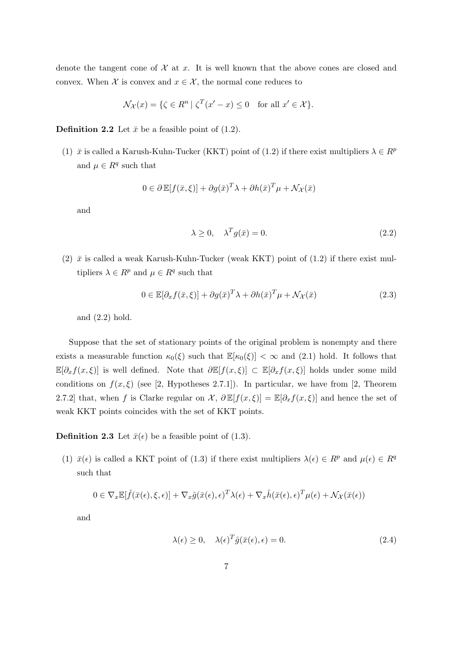denote the tangent cone of  $\mathcal X$  at  $x$ . It is well known that the above cones are closed and convex. When  $\mathcal X$  is convex and  $x \in \mathcal X$ , the normal cone reduces to

$$
\mathcal{N}_{\mathcal{X}}(x) = \{ \zeta \in R^n \mid \zeta^T(x'-x) \le 0 \quad \text{for all } x' \in \mathcal{X} \}.
$$

**Definition 2.2** Let  $\bar{x}$  be a feasible point of (1.2).

(1)  $\bar{x}$  is called a Karush-Kuhn-Tucker (KKT) point of (1.2) if there exist multipliers  $\lambda \in R^p$ and  $\mu \in \mathbb{R}^q$  such that

$$
0 \in \partial \mathbb{E}[f(\bar{x}, \xi)] + \partial g(\bar{x})^T \lambda + \partial h(\bar{x})^T \mu + \mathcal{N}_{\mathcal{X}}(\bar{x})
$$

and

$$
\lambda \ge 0, \quad \lambda^T g(\bar{x}) = 0. \tag{2.2}
$$

(2)  $\bar{x}$  is called a weak Karush-Kuhn-Tucker (weak KKT) point of (1.2) if there exist multipliers  $\lambda \in R^p$  and  $\mu \in R^q$  such that

$$
0 \in \mathbb{E}[\partial_x f(\bar{x}, \xi)] + \partial g(\bar{x})^T \lambda + \partial h(\bar{x})^T \mu + \mathcal{N}_{\mathcal{X}}(\bar{x})
$$
\n(2.3)

and (2.2) hold.

Suppose that the set of stationary points of the original problem is nonempty and there exists a measurable function  $\kappa_0(\xi)$  such that  $\mathbb{E}[\kappa_0(\xi)] < \infty$  and (2.1) hold. It follows that E[*∂xf*(*x, ξ*)] is well defined. Note that *∂*E[*f*(*x, ξ*)] *⊂* E[*∂xf*(*x, ξ*)] holds under some mild conditions on  $f(x,\xi)$  (see [2, Hypotheses 2.7.1]). In particular, we have from [2, Theorem 2.7.2] that, when *f* is Clarke regular on *X*,  $\partial \mathbb{E}[f(x,\xi)] = \mathbb{E}[\partial_x f(x,\xi)]$  and hence the set of weak KKT points coincides with the set of KKT points.

**Definition 2.3** Let  $\bar{x}(\epsilon)$  be a feasible point of (1.3).

(1)  $\bar{x}(\epsilon)$  is called a KKT point of (1.3) if there exist multipliers  $\lambda(\epsilon) \in R^p$  and  $\mu(\epsilon) \in R^q$ such that

$$
0 \in \nabla_x \mathbb{E}[\hat{f}(\bar{x}(\epsilon), \xi, \epsilon)] + \nabla_x \hat{g}(\bar{x}(\epsilon), \epsilon)^T \lambda(\epsilon) + \nabla_x \hat{h}(\bar{x}(\epsilon), \epsilon)^T \mu(\epsilon) + \mathcal{N}_{\mathcal{X}}(\bar{x}(\epsilon))
$$

and

$$
\lambda(\epsilon) \ge 0, \quad \lambda(\epsilon)^T \hat{g}(\bar{x}(\epsilon), \epsilon) = 0. \tag{2.4}
$$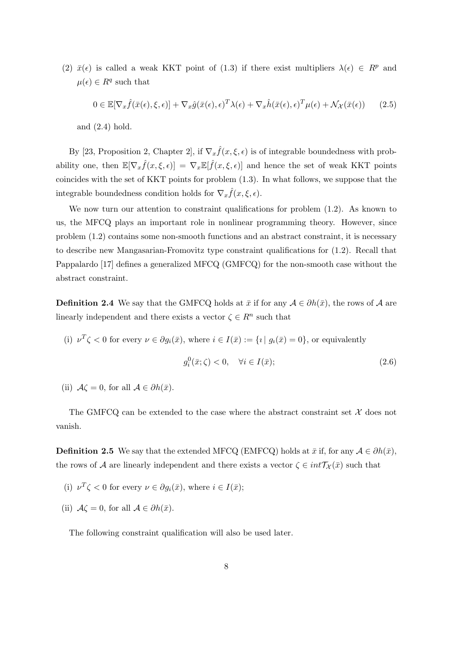(2)  $\bar{x}(\epsilon)$  is called a weak KKT point of (1.3) if there exist multipliers  $\lambda(\epsilon) \in R^p$  and  $\mu(\epsilon) \in R^q$  such that

$$
0 \in \mathbb{E}[\nabla_x \hat{f}(\bar{x}(\epsilon), \xi, \epsilon)] + \nabla_x \hat{g}(\bar{x}(\epsilon), \epsilon)^T \lambda(\epsilon) + \nabla_x \hat{h}(\bar{x}(\epsilon), \epsilon)^T \mu(\epsilon) + \mathcal{N}_{\mathcal{X}}(\bar{x}(\epsilon)) \tag{2.5}
$$

and (2.4) hold.

By [23, Proposition 2, Chapter 2], if  $\nabla_x \hat{f}(x,\xi,\epsilon)$  is of integrable boundedness with probability one, then  $\mathbb{E}[\nabla_x \hat{f}(x,\xi,\epsilon)] = \nabla_x \mathbb{E}[\hat{f}(x,\xi,\epsilon)]$  and hence the set of weak KKT points coincides with the set of KKT points for problem (1.3). In what follows, we suppose that the integrable boundedness condition holds for  $\nabla_x \hat{f}(x,\xi,\epsilon)$ .

We now turn our attention to constraint qualifications for problem  $(1.2)$ . As known to us, the MFCQ plays an important role in nonlinear programming theory. However, since problem (1.2) contains some non-smooth functions and an abstract constraint, it is necessary to describe new Mangasarian-Fromovitz type constraint qualifications for (1.2). Recall that Pappalardo [17] defines a generalized MFCQ (GMFCQ) for the non-smooth case without the abstract constraint.

**Definition 2.4** We say that the GMFCQ holds at  $\bar{x}$  if for any  $A \in \partial h(\bar{x})$ , the rows of A are linearly independent and there exists a vector  $\zeta \in \mathbb{R}^n$  such that

(i)  $\nu^T \zeta < 0$  for every  $\nu \in \partial g_i(\bar{x})$ , where  $i \in I(\bar{x}) := \{i \mid g_i(\bar{x}) = 0\}$ , or equivalently

$$
g_i^0(\bar{x}; \zeta) < 0, \quad \forall i \in I(\bar{x});\tag{2.6}
$$

(ii)  $\mathcal{A}\zeta = 0$ , for all  $\mathcal{A} \in \partial h(\bar{x})$ .

The GMFCQ can be extended to the case where the abstract constraint set *X* does not vanish.

**Definition 2.5** We say that the extended MFCQ (EMFCQ) holds at  $\bar{x}$  if, for any  $A \in \partial h(\bar{x})$ , the rows of *A* are linearly independent and there exists a vector  $\zeta \in int\mathcal{T}_{\mathcal{X}}(\bar{x})$  such that

- (i)  $\nu^T \zeta < 0$  for every  $\nu \in \partial g_i(\bar{x})$ , where  $i \in I(\bar{x})$ ;
- (ii)  $A\zeta = 0$ , for all  $A \in \partial h(\bar{x})$ .

The following constraint qualification will also be used later.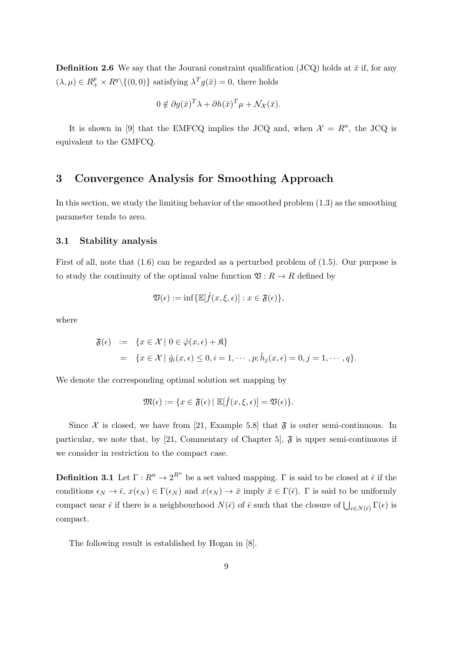**Definition 2.6** We say that the Journal constraint qualification (JCQ) holds at  $\bar{x}$  if, for any  $(\lambda, \mu) \in R_+^p \times R^q \setminus \{(0,0)\}$  satisfying  $\lambda^T g(\bar{x}) = 0$ , there holds

$$
0 \notin \partial g(\bar{x})^T \lambda + \partial h(\bar{x})^T \mu + \mathcal{N}_{\mathcal{X}}(\bar{x}).
$$

It is shown in [9] that the EMFCQ implies the JCQ and, when  $\mathcal{X} = R^n$ , the JCQ is equivalent to the GMFCQ.

#### **3 Convergence Analysis for Smoothing Approach**

In this section, we study the limiting behavior of the smoothed problem (1.3) as the smoothing parameter tends to zero.

#### **3.1 Stability analysis**

First of all, note that (1.6) can be regarded as a perturbed problem of (1.5). Our purpose is to study the continuity of the optimal value function  $\mathfrak{V}: R \to R$  defined by

$$
\mathfrak{V}(\epsilon) := \inf \{ \mathbb{E}[\hat{f}(x,\xi,\epsilon)] : x \in \mathfrak{F}(\epsilon) \},
$$

where

$$
\mathfrak{F}(\epsilon) := \{ x \in \mathcal{X} \mid 0 \in \hat{\varphi}(x,\epsilon) + \mathfrak{K} \}
$$
  
= 
$$
\{ x \in \mathcal{X} \mid \hat{g}_i(x,\epsilon) \leq 0, i = 1, \cdots, p; \hat{h}_j(x,\epsilon) = 0, j = 1, \cdots, q \}.
$$

We denote the corresponding optimal solution set mapping by

$$
\mathfrak{M}(\epsilon) := \{ x \in \mathfrak{F}(\epsilon) \mid \mathbb{E}[\hat{f}(x,\xi,\epsilon)] = \mathfrak{V}(\epsilon) \}.
$$

Since  $\mathcal X$  is closed, we have from [21, Example 5.8] that  $\mathfrak F$  is outer semi-continuous. In particular, we note that, by [21, Commentary of Chapter 5],  $\mathfrak{F}$  is upper semi-continuous if we consider in restriction to the compact case.

**Definition 3.1** Let  $\Gamma: R^n \to 2^{R^n}$  be a set valued mapping.  $\Gamma$  is said to be closed at  $\bar{\epsilon}$  if the conditions  $\epsilon_N \to \bar{\epsilon}$ ,  $x(\epsilon_N) \in \Gamma(\epsilon_N)$  and  $x(\epsilon_N) \to \bar{x}$  imply  $\bar{x} \in \Gamma(\bar{\epsilon})$ .  $\Gamma$  is said to be uniformly compact near  $\bar{\epsilon}$  if there is a neighbourhood  $N(\bar{\epsilon})$  of  $\bar{\epsilon}$  such that the closure of  $\bigcup_{\epsilon \in N(\bar{\epsilon})} \Gamma(\epsilon)$  is compact.

The following result is established by Hogan in [8].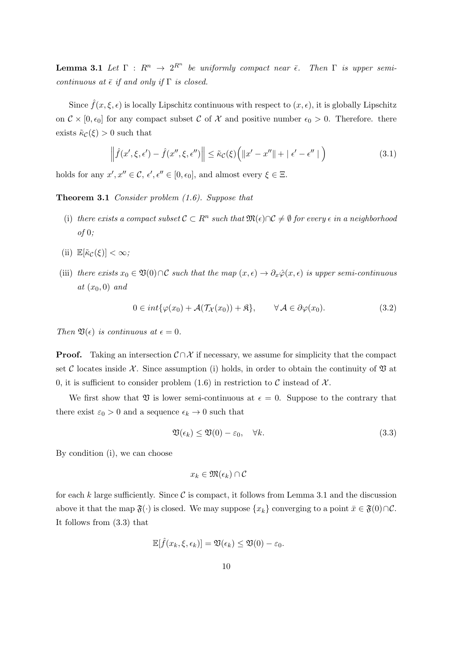**Lemma 3.1** *Let*  $\Gamma$  :  $R^n \to 2^{R^n}$  *be uniformly compact near*  $\bar{\epsilon}$ *. Then*  $\Gamma$  *is upper semicontinuous at*  $\bar{\epsilon}$  *if and only if*  $\Gamma$  *is closed.* 

Since  $\hat{f}(x,\xi,\epsilon)$  is locally Lipschitz continuous with respect to  $(x,\epsilon)$ , it is globally Lipschitz on  $C \times [0, \epsilon_0]$  for any compact subset C of X and positive number  $\epsilon_0 > 0$ . Therefore. there exists  $\tilde{\kappa}_{\mathcal{C}}(\xi) > 0$  such that

$$
\left\|\hat{f}(x',\xi,\epsilon')-\hat{f}(x'',\xi,\epsilon'')\right\|\leq \tilde{\kappa}_{\mathcal{C}}(\xi)\Big(\|x'-x''\|+\|\epsilon'-\epsilon''\|\Big) \tag{3.1}
$$

holds for any  $x', x'' \in \mathcal{C}, \epsilon', \epsilon'' \in [0, \epsilon_0]$ , and almost every  $\xi \in \Xi$ .

**Theorem 3.1** *Consider problem (1.6). Suppose that*

- (i) there exists a compact subset  $C \subset R^n$  such that  $\mathfrak{M}(\epsilon) \cap C \neq \emptyset$  for every  $\epsilon$  in a neighborhood *of* 0*;*
- (ii)  $\mathbb{E}[\tilde{\kappa}_c(\xi)] < \infty$ ;
- (iii) *there exists*  $x_0 \in \mathfrak{V}(0) \cap \mathcal{C}$  *such that the map*  $(x, \epsilon) \to \partial_x \hat{\varphi}(x, \epsilon)$  *is upper semi-continuous*  $at(x_0,0)$  *and*

$$
0 \in int{\varphi(x_0) + \mathcal{A}(\mathcal{T}_{\mathcal{X}}(x_0)) + \mathfrak{K}}, \qquad \forall \mathcal{A} \in \partial \varphi(x_0). \tag{3.2}
$$

*Then*  $\mathfrak{V}(\epsilon)$  *is continuous at*  $\epsilon = 0$ *.* 

**Proof.** Taking an intersection  $C \cap \mathcal{X}$  if necessary, we assume for simplicity that the compact set C locates inside  $\mathcal{X}$ . Since assumption (i) holds, in order to obtain the continuity of  $\mathfrak V$  at 0, it is sufficient to consider problem  $(1.6)$  in restriction to C instead of  $\mathcal{X}$ .

We first show that  $\mathfrak V$  is lower semi-continuous at  $\epsilon = 0$ . Suppose to the contrary that there exist  $\varepsilon_0 > 0$  and a sequence  $\epsilon_k \to 0$  such that

$$
\mathfrak{V}(\epsilon_k) \le \mathfrak{V}(0) - \varepsilon_0, \quad \forall k. \tag{3.3}
$$

By condition (i), we can choose

$$
x_k\in\mathfrak{M}(\epsilon_k)\cap\mathcal{C}
$$

for each  $k$  large sufficiently. Since  $\mathcal C$  is compact, it follows from Lemma 3.1 and the discussion above it that the map  $\mathfrak{F}(\cdot)$  is closed. We may suppose  $\{x_k\}$  converging to a point  $\bar{x} \in \mathfrak{F}(0) \cap \mathcal{C}$ . It follows from (3.3) that

$$
\mathbb{E}[\hat{f}(x_k,\xi,\epsilon_k)] = \mathfrak{V}(\epsilon_k) \le \mathfrak{V}(0) - \varepsilon_0.
$$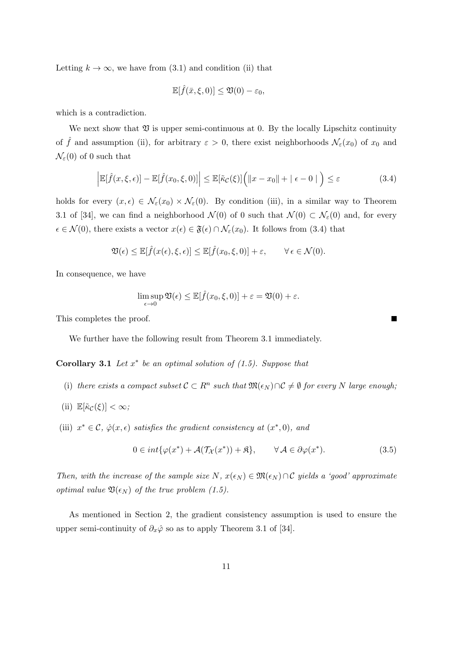Letting  $k \to \infty$ , we have from (3.1) and condition (ii) that

$$
\mathbb{E}[\hat{f}(\bar{x},\xi,0)] \leq \mathfrak{V}(0) - \varepsilon_0,
$$

which is a contradiction.

We next show that  $\mathfrak V$  is upper semi-continuous at 0. By the locally Lipschitz continuity of  $\hat{f}$  and assumption (ii), for arbitrary  $\varepsilon > 0$ , there exist neighborhoods  $\mathcal{N}_{\varepsilon}(x_0)$  of  $x_0$  and  $\mathcal{N}_{\varepsilon}(0)$  of 0 such that

$$
\left| \mathbb{E}[\hat{f}(x,\xi,\epsilon)] - \mathbb{E}[\hat{f}(x_0,\xi,0)] \right| \leq \mathbb{E}[\tilde{\kappa}_{\mathcal{C}}(\xi)] \Big( \|x - x_0\| + \|\epsilon - 0\| \Big) \leq \varepsilon \tag{3.4}
$$

holds for every  $(x, \epsilon) \in \mathcal{N}_{\epsilon}(x_0) \times \mathcal{N}_{\epsilon}(0)$ . By condition (iii), in a similar way to Theorem 3.1 of [34], we can find a neighborhood  $\mathcal{N}(0)$  of 0 such that  $\mathcal{N}(0) \subset \mathcal{N}_{\varepsilon}(0)$  and, for every  $\epsilon$  ∈  $\mathcal{N}(0)$ , there exists a vector  $x(\epsilon) \in \mathfrak{F}(\epsilon) \cap \mathcal{N}_{\epsilon}(x_0)$ . It follows from (3.4) that

$$
\mathfrak{V}(\epsilon) \leq \mathbb{E}[\hat{f}(x(\epsilon), \xi, \epsilon)] \leq \mathbb{E}[\hat{f}(x_0, \xi, 0)] + \varepsilon, \qquad \forall \epsilon \in \mathcal{N}(0).
$$

In consequence, we have

$$
\limsup_{\epsilon \to 0} \mathfrak{V}(\epsilon) \le \mathbb{E}[\hat{f}(x_0, \xi, 0)] + \varepsilon = \mathfrak{V}(0) + \varepsilon.
$$

This completes the proof.

We further have the following result from Theorem 3.1 immediately.

**Corollary 3.1** *Let x ∗ be an optimal solution of (1.5). Suppose that*

- (i) there exists a compact subset  $C \subset R^n$  such that  $\mathfrak{M}(\epsilon_N) \cap C \neq \emptyset$  for every N large enough;
- (ii)  $\mathbb{E}[\tilde{\kappa}_{\mathcal{C}}(\xi)] < \infty$ ;
- (iii)  $x^* \in \mathcal{C}$ ,  $\hat{\varphi}(x, \epsilon)$  *satisfies the gradient consistency at*  $(x^*, 0)$ *, and*

$$
0 \in int{\varphi(x^*)} + \mathcal{A}(\mathcal{T}_{\mathcal{X}}(x^*)) + \mathfrak{K}, \qquad \forall \mathcal{A} \in \partial \varphi(x^*).
$$
 (3.5)

*Then, with the increase of the sample size*  $N, x(\epsilon_N) \in \mathfrak{M}(\epsilon_N) \cap C$  yields a 'good' approximate *optimal value*  $\mathfrak{V}(\epsilon_N)$  *of the true problem (1.5).* 

As mentioned in Section 2, the gradient consistency assumption is used to ensure the upper semi-continuity of  $\partial_x \hat{\varphi}$  so as to apply Theorem 3.1 of [34].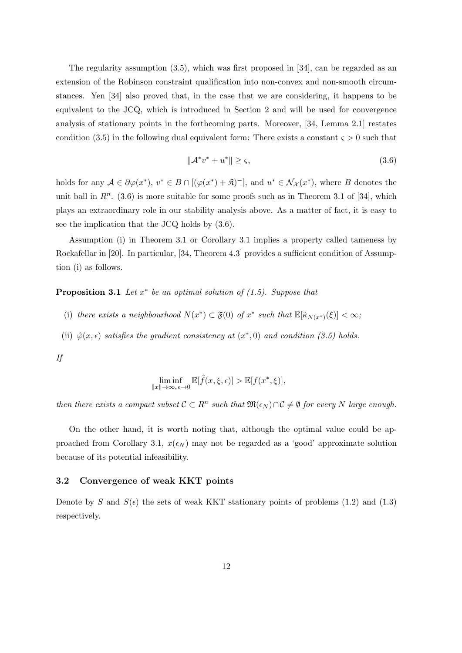The regularity assumption (3.5), which was first proposed in [34], can be regarded as an extension of the Robinson constraint qualification into non-convex and non-smooth circumstances. Yen [34] also proved that, in the case that we are considering, it happens to be equivalent to the JCQ, which is introduced in Section 2 and will be used for convergence analysis of stationary points in the forthcoming parts. Moreover, [34, Lemma 2.1] restates condition (3.5) in the following dual equivalent form: There exists a constant  $\varsigma > 0$  such that

$$
\|\mathcal{A}^* v^* + u^*\| \ge \varsigma,\tag{3.6}
$$

holds for any  $A \in \partial \varphi(x^*)$ ,  $v^* \in B \cap [(\varphi(x^*) + \mathfrak{K})^-]$ , and  $u^* \in \mathcal{N}_{\mathcal{X}}(x^*)$ , where B denotes the unit ball in  $R<sup>n</sup>$ . (3.6) is more suitable for some proofs such as in Theorem 3.1 of [34], which plays an extraordinary role in our stability analysis above. As a matter of fact, it is easy to see the implication that the JCQ holds by (3.6).

Assumption (i) in Theorem 3.1 or Corollary 3.1 implies a property called tameness by Rockafellar in [20]. In particular, [34, Theorem 4.3] provides a sufficient condition of Assumption (i) as follows.

**Proposition 3.1** *Let x ∗ be an optimal solution of (1.5). Suppose that*

- (i) there exists a neighbourhood  $N(x^*) \subset \mathfrak{F}(0)$  of  $x^*$  such that  $\mathbb{E}[\tilde{\kappa}_{N(x^*)}(\xi)] < \infty$ ;
- (ii)  $\hat{\varphi}(x,\epsilon)$  *satisfies the gradient consistency at*  $(x^*,0)$  *and condition (3.5) holds.*

*If*

$$
\liminf_{\|x\| \to \infty, \epsilon \to 0} \mathbb{E}[\hat{f}(x,\xi,\epsilon)] > \mathbb{E}[f(x^*,\xi)],
$$

*then there exists a compact subset*  $C \subset R^n$  *such that*  $\mathfrak{M}(\epsilon_N) \cap C \neq \emptyset$  *for every*  $N$  *large enough.* 

On the other hand, it is worth noting that, although the optimal value could be approached from Corollary 3.1,  $x(\epsilon_N)$  may not be regarded as a 'good' approximate solution because of its potential infeasibility.

#### **3.2 Convergence of weak KKT points**

Denote by *S* and  $S(\epsilon)$  the sets of weak KKT stationary points of problems (1.2) and (1.3) respectively.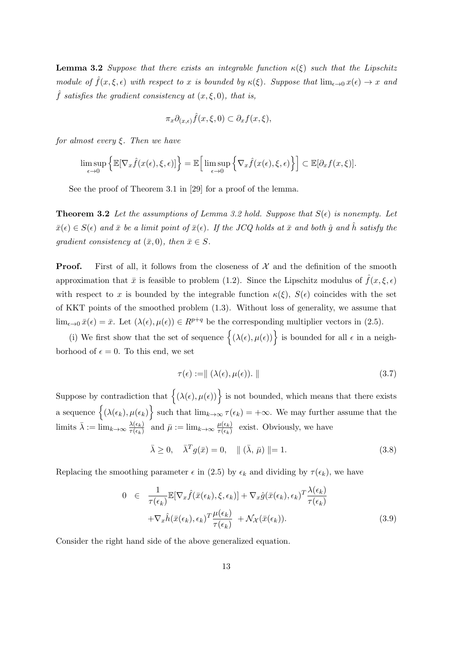**Lemma 3.2** *Suppose that there exists an integrable function κ*(*ξ*) *such that the Lipschitz module of*  $\hat{f}(x,\xi,\epsilon)$  *with respect to x is bounded by*  $\kappa(\xi)$ *. Suppose that*  $\lim_{\epsilon \to 0} x(\epsilon) \to x$  *and*  $\hat{f}$  *satisfies the gradient consistency at*  $(x, \xi, 0)$ *, that is,* 

$$
\pi_x \partial_{(x,\epsilon)} \hat{f}(x,\xi,0) \subset \partial_x f(x,\xi),
$$

*for almost every ξ. Then we have*

$$
\limsup_{\epsilon \to 0} \left\{ \mathbb{E}[\nabla_x \hat{f}(x(\epsilon), \xi, \epsilon)] \right\} = \mathbb{E} \Big[ \limsup_{\epsilon \to 0} \left\{ \nabla_x \hat{f}(x(\epsilon), \xi, \epsilon) \right\} \Big] \subset \mathbb{E}[\partial_x f(x, \xi)].
$$

See the proof of Theorem 3.1 in [29] for a proof of the lemma.

**Theorem 3.2** Let the assumptions of Lemma 3.2 hold. Suppose that  $S(\epsilon)$  is nonempty. Let  $\bar{x}(\epsilon) \in S(\epsilon)$  *and*  $\bar{x}$  *be a limit point of*  $\bar{x}(\epsilon)$ *. If the JCQ holds at*  $\bar{x}$  *and both*  $\hat{q}$  *and*  $\hat{h}$  *satisfy the gradient consistency at*  $(\bar{x}, 0)$ *, then*  $\bar{x} \in S$ *.* 

**Proof.** First of all, it follows from the closeness of  $\mathcal{X}$  and the definition of the smooth approximation that  $\bar{x}$  is feasible to problem (1.2). Since the Lipschitz modulus of  $\hat{f}(x,\xi,\epsilon)$ with respect to *x* is bounded by the integrable function  $\kappa(\xi)$ ,  $S(\epsilon)$  coincides with the set of KKT points of the smoothed problem (1.3). Without loss of generality, we assume that lim<sub> $\epsilon \to 0$ </sub>  $\bar{x}(\epsilon) = \bar{x}$ . Let  $(\lambda(\epsilon), \mu(\epsilon)) \in R^{p+q}$  be the corresponding multiplier vectors in (2.5).

(i) We first show that the set of sequence  $\{(\lambda(\epsilon), \mu(\epsilon))\}$  is bounded for all  $\epsilon$  in a neighborhood of  $\epsilon = 0$ . To this end, we set

$$
\tau(\epsilon) := || (\lambda(\epsilon), \mu(\epsilon)). || \tag{3.7}
$$

Suppose by contradiction that  $\{(\lambda(\epsilon), \mu(\epsilon))\}$  is not bounded, which means that there exists a sequence  $\left\{ (\lambda(\epsilon_k), \mu(\epsilon_k)) \right\}$  such that  $\lim_{k\to\infty} \tau(\epsilon_k) = +\infty$ . We may further assume that the limits  $\bar{\lambda} := \lim_{k \to \infty} \frac{\lambda(\epsilon_k)}{\tau(\epsilon_k)}$  $\frac{\lambda(\epsilon_k)}{\tau(\epsilon_k)}$  and  $\bar{\mu} := \lim_{k \to \infty} \frac{\mu(\epsilon_k)}{\tau(\epsilon_k)}$  $\frac{\mu(\epsilon_k)}{\tau(\epsilon_k)}$  exist. Obviously, we have

$$
\bar{\lambda} \ge 0, \quad \bar{\lambda}^T g(\bar{x}) = 0, \quad || (\bar{\lambda}, \bar{\mu}) || = 1.
$$
\n(3.8)

Replacing the smoothing parameter  $\epsilon$  in (2.5) by  $\epsilon_k$  and dividing by  $\tau(\epsilon_k)$ , we have

$$
0 \in \frac{1}{\tau(\epsilon_k)} \mathbb{E} [\nabla_x \hat{f}(\bar{x}(\epsilon_k), \xi, \epsilon_k)] + \nabla_x \hat{g}(\bar{x}(\epsilon_k), \epsilon_k)^T \frac{\lambda(\epsilon_k)}{\tau(\epsilon_k)} + \nabla_x \hat{h}(\bar{x}(\epsilon_k), \epsilon_k)^T \frac{\mu(\epsilon_k)}{\tau(\epsilon_k)} + \mathcal{N}_{\mathcal{X}}(\bar{x}(\epsilon_k)).
$$
\n(3.9)

Consider the right hand side of the above generalized equation.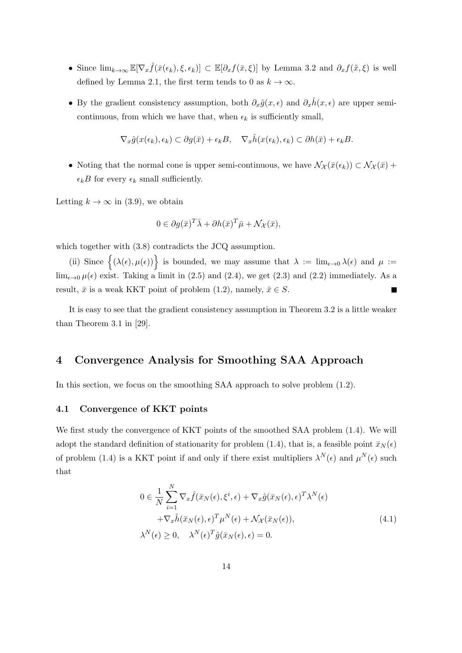- Since  $\lim_{k\to\infty} \mathbb{E}[\nabla_x \hat{f}(\bar{x}(\epsilon_k), \xi, \epsilon_k)] \subset \mathbb{E}[\partial_x f(\bar{x}, \xi)]$  by Lemma 3.2 and  $\partial_x f(\tilde{x}, \xi)$  is well defined by Lemma 2.1, the first term tends to 0 as  $k \to \infty$ .
- By the gradient consistency assumption, both  $\partial_x \hat{g}(x, \epsilon)$  and  $\partial_x \hat{h}(x, \epsilon)$  are upper semicontinuous, from which we have that, when  $\epsilon_k$  is sufficiently small,

$$
\nabla_x \hat{g}(x(\epsilon_k), \epsilon_k) \subset \partial g(\bar{x}) + \epsilon_k B, \quad \nabla_x \hat{h}(x(\epsilon_k), \epsilon_k) \subset \partial h(\bar{x}) + \epsilon_k B.
$$

• Noting that the normal cone is upper semi-continuous, we have  $\mathcal{N}_{\mathcal{X}}(\bar{x}(\epsilon_k)) \subset \mathcal{N}_{\mathcal{X}}(\bar{x})$  +  $\epsilon_k B$  for every  $\epsilon_k$  small sufficiently.

Letting  $k \to \infty$  in (3.9), we obtain

$$
0 \in \partial g(\bar{x})^T \bar{\lambda} + \partial h(\bar{x})^T \bar{\mu} + \mathcal{N}_{\mathcal{X}}(\bar{x}),
$$

which together with  $(3.8)$  contradicts the JCQ assumption.

(ii) Since  $\{(\lambda(\epsilon), \mu(\epsilon))\}$  is bounded, we may assume that  $\lambda := \lim_{\epsilon \to 0} \lambda(\epsilon)$  and  $\mu :=$ lim<sub> $\epsilon \to 0$ </sub>  $\mu(\epsilon)$  exist. Taking a limit in (2.5) and (2.4), we get (2.3) and (2.2) immediately. As a result,  $\bar{x}$  is a weak KKT point of problem (1.2), namely,  $\bar{x} \in S$ .

It is easy to see that the gradient consistency assumption in Theorem 3.2 is a little weaker than Theorem 3.1 in [29].

## **4 Convergence Analysis for Smoothing SAA Approach**

In this section, we focus on the smoothing SAA approach to solve problem (1.2).

#### **4.1 Convergence of KKT points**

We first study the convergence of KKT points of the smoothed SAA problem (1.4). We will adopt the standard definition of stationarity for problem (1.4), that is, a feasible point  $\bar{x}_N(\epsilon)$ of problem (1.4) is a KKT point if and only if there exist multipliers  $\lambda^N(\epsilon)$  and  $\mu^N(\epsilon)$  such that

$$
0 \in \frac{1}{N} \sum_{i=1}^{N} \nabla_x \hat{f}(\bar{x}_N(\epsilon), \xi^i, \epsilon) + \nabla_x \hat{g}(\bar{x}_N(\epsilon), \epsilon)^T \lambda^N(\epsilon) + \nabla_x \hat{h}(\bar{x}_N(\epsilon), \epsilon)^T \mu^N(\epsilon) + \mathcal{N}_{\mathcal{X}}(\bar{x}_N(\epsilon)), \lambda^N(\epsilon) \ge 0, \quad \lambda^N(\epsilon)^T \hat{g}(\bar{x}_N(\epsilon), \epsilon) = 0.
$$
\n(4.1)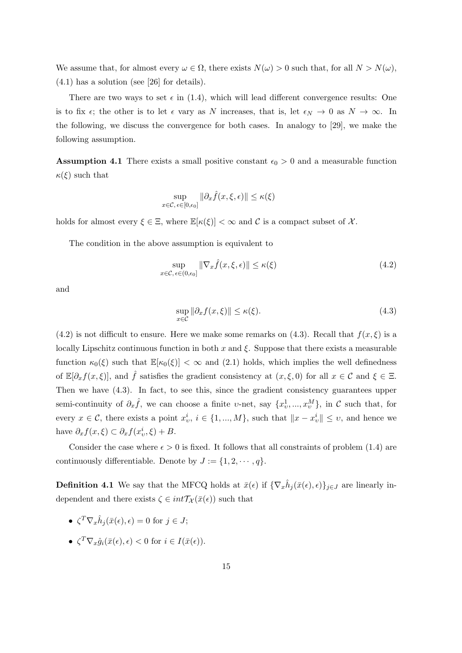We assume that, for almost every  $\omega \in \Omega$ , there exists  $N(\omega) > 0$  such that, for all  $N > N(\omega)$ , (4.1) has a solution (see [26] for details).

There are two ways to set  $\epsilon$  in (1.4), which will lead different convergence results: One is to fix  $\epsilon$ ; the other is to let  $\epsilon$  vary as *N* increases, that is, let  $\epsilon_N \to 0$  as  $N \to \infty$ . In the following, we discuss the convergence for both cases. In analogy to [29], we make the following assumption.

**Assumption 4.1** There exists a small positive constant  $\epsilon_0 > 0$  and a measurable function *κ*(*ξ*) such that

$$
\sup_{x \in \mathcal{C}, \epsilon \in [0, \epsilon_0]} \|\partial_x \hat{f}(x, \xi, \epsilon)\| \le \kappa(\xi)
$$

holds for almost every  $\xi \in \Xi$ , where  $\mathbb{E}[\kappa(\xi)] < \infty$  and C is a compact subset of X.

The condition in the above assumption is equivalent to

$$
\sup_{x \in \mathcal{C}, \epsilon \in (0, \epsilon_0]} \|\nabla_x \hat{f}(x, \xi, \epsilon)\| \le \kappa(\xi)
$$
\n(4.2)

and

$$
\sup_{x \in \mathcal{C}} \|\partial_x f(x, \xi)\| \le \kappa(\xi). \tag{4.3}
$$

 $(4.2)$  is not difficult to ensure. Here we make some remarks on  $(4.3)$ . Recall that  $f(x,\xi)$  is a locally Lipschitz continuous function in both *x* and *ξ*. Suppose that there exists a measurable function  $\kappa_0(\xi)$  such that  $\mathbb{E}[\kappa_0(\xi)] < \infty$  and (2.1) holds, which implies the well definedness of  $\mathbb{E}[\partial_x f(x,\xi)]$ , and  $\hat{f}$  satisfies the gradient consistency at  $(x,\xi,0)$  for all  $x \in \mathcal{C}$  and  $\xi \in \Xi$ . Then we have (4.3). In fact, to see this, since the gradient consistency guarantees upper semi-continuity of  $\partial_x \hat{f}$ , we can choose a finite *v*-net, say  $\{x_v^1, ..., x_v^M\}$ , in *C* such that, for every  $x \in \mathcal{C}$ , there exists a point  $x_v^i$ ,  $i \in \{1, ..., M\}$ , such that  $||x - x_v^i|| \leq v$ , and hence we have  $\partial_x f(x,\xi) \subset \partial_x f(x_v^i, \xi) + B$ .

Consider the case where  $\epsilon > 0$  is fixed. It follows that all constraints of problem (1.4) are continuously differentiable. Denote by  $J := \{1, 2, \dots, q\}.$ 

**Definition 4.1** We say that the MFCQ holds at  $\bar{x}(\epsilon)$  if  ${\nabla_x \hat{h}_j(\bar{x}(\epsilon), \epsilon)}_{j \in J}$  are linearly independent and there exists  $\zeta \in int\mathcal{T}_{\mathcal{X}}(\bar{x}(\epsilon))$  such that

- $\zeta^T \nabla_x \hat{h}_j(\bar{x}(\epsilon), \epsilon) = 0$  for  $j \in J$ ;
- $\zeta^T \nabla_x \hat{g}_i(\bar{x}(\epsilon), \epsilon) < 0$  for  $i \in I(\bar{x}(\epsilon)).$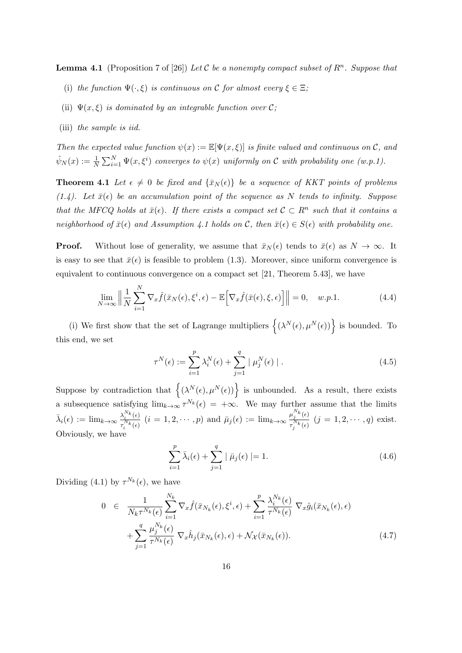**Lemma 4.1** (Proposition 7 of [26]) Let C be a nonempty compact subset of  $R^n$ . Suppose that

- (i) *the function*  $\Psi(\cdot,\xi)$  *is continuous on*  $\mathcal{C}$  *for almost every*  $\xi \in \Xi$ ;
- (ii)  $\Psi(x,\xi)$  *is dominated by an integrable function over*  $\mathcal{C}$ *;*
- (iii) *the sample is iid.*

*Then the expected value function*  $\psi(x) := \mathbb{E}[\Psi(x,\xi)]$  *is finite valued and continuous on*  $\mathcal{C}$ *, and*  $\hat{\psi}_N(x) := \frac{1}{N} \sum_{i=1}^N \Psi(x, \xi^i)$  converges to  $\psi(x)$  uniformly on  $\mathcal C$  with probability one  $(w.p.1)$ .

**Theorem 4.1** *Let*  $\epsilon \neq 0$  *be fixed and*  $\{\bar{x}_N(\epsilon)\}\$  *be a sequence of KKT points of problems*  $(1.4)$ . Let  $\bar{x}(\epsilon)$  be an accumulation point of the sequence as N tends to infinity. Suppose *that the MFCQ holds at*  $\bar{x}(\epsilon)$ *. If there exists a compact set*  $\mathcal{C} \subset R^n$  such that it contains a *neighborhood of*  $\bar{x}(\epsilon)$  *and Assumption 4.1 holds on*  $\mathcal{C}$ *, then*  $\bar{x}(\epsilon) \in S(\epsilon)$  *with probability one.* 

**Proof.** Without lose of generality, we assume that  $\bar{x}_N(\epsilon)$  tends to  $\bar{x}(\epsilon)$  as  $N \to \infty$ . It is easy to see that  $\bar{x}(\epsilon)$  is feasible to problem (1.3). Moreover, since uniform convergence is equivalent to continuous convergence on a compact set [21, Theorem 5.43], we have

$$
\lim_{N \to \infty} \left\| \frac{1}{N} \sum_{i=1}^{N} \nabla_x \hat{f}(\bar{x}_N(\epsilon), \xi^i, \epsilon) - \mathbb{E} \Big[ \nabla_x \hat{f}(\bar{x}(\epsilon), \xi, \epsilon) \Big] \right\| = 0, \quad w.p.1.
$$
\n(4.4)

(i) We first show that the set of Lagrange multipliers  $\{(\lambda^N(\epsilon), \mu^N(\epsilon))\}$  is bounded. To this end, we set

$$
\tau^{N}(\epsilon) := \sum_{i=1}^{p} \lambda_i^{N}(\epsilon) + \sum_{j=1}^{q} |\mu_j^{N}(\epsilon)|.
$$
\n(4.5)

Suppose by contradiction that  $\{(\lambda^N(\epsilon), \mu^N(\epsilon))\}$  is unbounded. As a result, there exists a subsequence satisfying  $\lim_{k\to\infty} \tau^{N_k}(\epsilon) = +\infty$ . We may further assume that the limits  $\bar{\lambda}_i(\epsilon) := \lim_{k \to \infty} \frac{\lambda_i^{N_k}(\epsilon)}{\tau_i^{N_k}(\epsilon)}$  $\frac{\lambda_i^{N_k}(\epsilon)}{\tau_i^{N_k}(\epsilon)}$   $(i = 1, 2, \cdots, p)$  and  $\bar{\mu}_j(\epsilon) := \lim_{k \to \infty} \frac{\mu_j^{N_k}(\epsilon)}{\tau_j^{N_k}(\epsilon)}$  $\frac{\mu_j}{\tau_j^{N_k}(\epsilon)}$   $(j = 1, 2, \cdots, q)$  exist. Obviously, we have

$$
\sum_{i=1}^{p} \bar{\lambda}_{i}(\epsilon) + \sum_{j=1}^{q} | \bar{\mu}_{j}(\epsilon) | = 1.
$$
 (4.6)

Dividing (4.1) by  $\tau^{N_k}(\epsilon)$ , we have

$$
0 \in \frac{1}{N_k \tau^{N_k}(\epsilon)} \sum_{i=1}^{N_k} \nabla_x \hat{f}(\bar{x}_{N_k}(\epsilon), \xi^i, \epsilon) + \sum_{i=1}^p \frac{\lambda_i^{N_k}(\epsilon)}{\tau^{N_k}(\epsilon)} \nabla_x \hat{g}_i(\bar{x}_{N_k}(\epsilon), \epsilon) + \sum_{j=1}^q \frac{\mu_j^{N_k}(\epsilon)}{\tau^{N_k}(\epsilon)} \nabla_x \hat{h}_j(\bar{x}_{N_k}(\epsilon), \epsilon) + \mathcal{N}_{\mathcal{X}}(\bar{x}_{N_k}(\epsilon)).
$$
\n(4.7)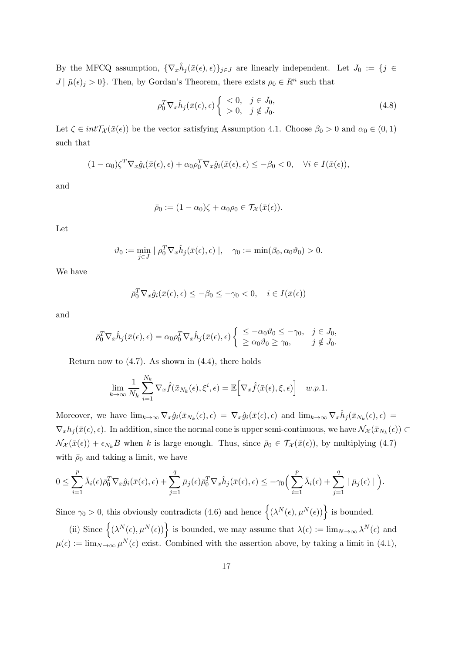By the MFCQ assumption,  ${\lbrace \nabla_x \hat{h}_j(\bar{x}(\epsilon), \epsilon) \rbrace_{j \in J}}$  are linearly independent. Let  $J_0 := \lbrace j \in$  $J | \bar{\mu}(\epsilon)_j > 0$ . Then, by Gordan's Theorem, there exists  $\rho_0 \in R^n$  such that

$$
\rho_0^T \nabla_x \hat{h}_j(\bar{x}(\epsilon), \epsilon) \begin{cases} < 0, \quad j \in J_0, \\ > 0, \quad j \notin J_0. \end{cases} \tag{4.8}
$$

Let  $\zeta \in int\mathcal{T}_{\mathcal{X}}(\bar{x}(\epsilon))$  be the vector satisfying Assumption 4.1. Choose  $\beta_0 > 0$  and  $\alpha_0 \in (0,1)$ such that

$$
(1 - \alpha_0)\zeta^T \nabla_x \hat{g}_i(\bar{x}(\epsilon), \epsilon) + \alpha_0 \rho_0^T \nabla_x \hat{g}_i(\bar{x}(\epsilon), \epsilon) \leq -\beta_0 < 0, \quad \forall i \in I(\bar{x}(\epsilon)),
$$

and

$$
\bar{\rho}_0 := (1 - \alpha_0)\zeta + \alpha_0\rho_0 \in \mathcal{T}_{\mathcal{X}}(\bar{x}(\epsilon)).
$$

Let

$$
\vartheta_0 := \min_{j \in J} | \rho_0^T \nabla_x \hat{h}_j(\bar{x}(\epsilon), \epsilon) |, \quad \gamma_0 := \min(\beta_0, \alpha_0 \vartheta_0) > 0.
$$

We have

$$
\bar{\rho}_0^T \nabla_x \hat{g}_i(\bar{x}(\epsilon), \epsilon) \le -\beta_0 \le -\gamma_0 < 0, \quad i \in I(\bar{x}(\epsilon))
$$

and

$$
\bar{\rho}_0^T \nabla_x \hat{h}_j(\bar{x}(\epsilon), \epsilon) = \alpha_0 \rho_0^T \nabla_x \hat{h}_j(\bar{x}(\epsilon), \epsilon) \left\{ \begin{array}{l} \leq -\alpha_0 \vartheta_0 \leq -\gamma_0, & j \in J_0, \\ \geq \alpha_0 \vartheta_0 \geq \gamma_0, & j \notin J_0. \end{array} \right.
$$

Return now to  $(4.7)$ . As shown in  $(4.4)$ , there holds

$$
\lim_{k \to \infty} \frac{1}{N_k} \sum_{i=1}^{N_k} \nabla_x \hat{f}(\bar{x}_{N_k}(\epsilon), \xi^i, \epsilon) = \mathbb{E} \Big[ \nabla_x \hat{f}(\bar{x}(\epsilon), \xi, \epsilon) \Big] \quad w.p.1.
$$

Moreover, we have  $\lim_{k\to\infty} \nabla_x \hat{g}_i(\bar{x}_{N_k}(\epsilon), \epsilon) = \nabla_x \hat{g}_i(\bar{x}(\epsilon), \epsilon)$  and  $\lim_{k\to\infty} \nabla_x \hat{h}_j(\bar{x}_{N_k}(\epsilon), \epsilon) =$  $\nabla_x h_j(\bar{x}(\epsilon), \epsilon)$ . In addition, since the normal cone is upper semi-continuous, we have  $\mathcal{N}_{\mathcal{X}}(\bar{x}_{N_k}(\epsilon)) \subset$  $\mathcal{N}_{\mathcal{X}}(\bar{x}(\epsilon)) + \epsilon_{N_k}B$  when *k* is large enough. Thus, since  $\bar{\rho}_0 \in \mathcal{T}_{\mathcal{X}}(\bar{x}(\epsilon))$ , by multiplying (4.7) with  $\bar{\rho}_0$  and taking a limit, we have

$$
0 \leq \sum_{i=1}^p \bar{\lambda}_i(\epsilon) \bar{\rho}_0^T \nabla_x \hat{g}_i(\bar{x}(\epsilon), \epsilon) + \sum_{j=1}^q \bar{\mu}_j(\epsilon) \bar{\rho}_0^T \nabla_x \hat{h}_j(\bar{x}(\epsilon), \epsilon) \leq -\gamma_0 \Big( \sum_{i=1}^p \bar{\lambda}_i(\epsilon) + \sum_{j=1}^q |\bar{\mu}_j(\epsilon)| \Big).
$$

Since  $\gamma_0 > 0$ , this obviously contradicts (4.6) and hence  $\{(\lambda^N(\epsilon), \mu^N(\epsilon))\}\)$  is bounded.

(ii) Since  $\left\{ (\lambda^N(\epsilon), \mu^N(\epsilon)) \right\}$  is bounded, we may assume that  $\lambda(\epsilon) := \lim_{N \to \infty} \lambda^N(\epsilon)$  and  $\mu(\epsilon) := \lim_{N \to \infty} \mu^N(\epsilon)$  exist. Combined with the assertion above, by taking a limit in (4.1),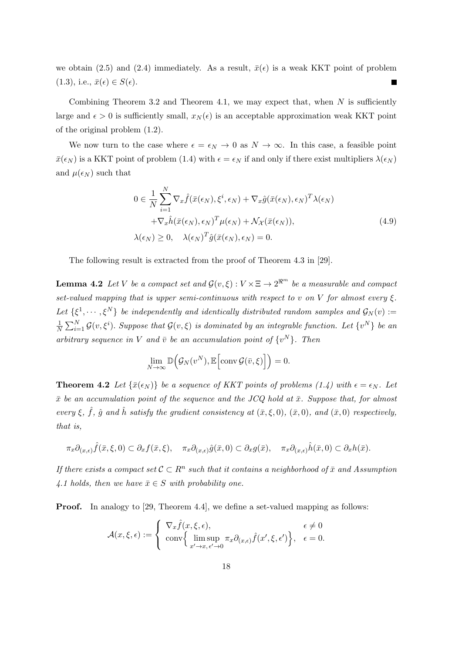we obtain (2.5) and (2.4) immediately. As a result,  $\bar{x}(\epsilon)$  is a weak KKT point of problem  $(1.3)$ , i.e.,  $\bar{x}(\epsilon) \in S(\epsilon)$ .

Combining Theorem 3.2 and Theorem 4.1, we may expect that, when *N* is sufficiently large and  $\epsilon > 0$  is sufficiently small,  $x_N(\epsilon)$  is an acceptable approximation weak KKT point of the original problem (1.2).

We now turn to the case where  $\epsilon = \epsilon_N \to 0$  as  $N \to \infty$ . In this case, a feasible point  $\bar{x}(\epsilon_N)$  is a KKT point of problem (1.4) with  $\epsilon = \epsilon_N$  if and only if there exist multipliers  $\lambda(\epsilon_N)$ and  $\mu(\epsilon_N)$  such that

$$
0 \in \frac{1}{N} \sum_{i=1}^{N} \nabla_x \hat{f}(\bar{x}(\epsilon_N), \xi^i, \epsilon_N) + \nabla_x \hat{g}(\bar{x}(\epsilon_N), \epsilon_N)^T \lambda(\epsilon_N)
$$

$$
+ \nabla_x \hat{h}(\bar{x}(\epsilon_N), \epsilon_N)^T \mu(\epsilon_N) + \mathcal{N}_{\mathcal{X}}(\bar{x}(\epsilon_N)),
$$

$$
\lambda(\epsilon_N) \ge 0, \quad \lambda(\epsilon_N)^T \hat{g}(\bar{x}(\epsilon_N), \epsilon_N) = 0.
$$
\n(4.9)

The following result is extracted from the proof of Theorem 4.3 in [29].

**Lemma 4.2** *Let V be a compact set and*  $\mathcal{G}(v,\xi): V \times \Xi \to 2^{\Re^m}$  *be a measurable and compact set-valued mapping that is upper semi-continuous with respect to v on V for almost every*  $\xi$ *.* Let  $\{\xi^1, \dots, \xi^N\}$  be independently and identically distributed random samples and  $\mathcal{G}_N(v) :=$ 1  $\frac{1}{N} \sum_{i=1}^{N} \mathcal{G}(v, \xi^i)$ *. Suppose that*  $\mathcal{G}(v, \xi)$  *is dominated by an integrable function. Let*  $\{v^N\}$  *be an arbitrary sequence in V and*  $\bar{v}$  *be an accumulation point of*  $\{v^N\}$ *. Then* 

$$
\lim_{N \to \infty} \mathbb{D}\Big(\mathcal{G}_N(v^N), \mathbb{E}\Big[\text{conv}\,\mathcal{G}(\bar{v}, \xi)\Big]\Big) = 0.
$$

**Theorem 4.2** *Let*  $\{\bar{x}(\epsilon_N)\}$  *be a sequence of KKT points of problems (1.4) with*  $\epsilon = \epsilon_N$ *. Let*  $\bar{x}$  *be an accumulation point of the sequence and the JCQ hold at*  $\bar{x}$ *. Suppose that, for almost every*  $\xi$ ,  $\hat{f}$ ,  $\hat{g}$  *and*  $\hat{h}$  *satisfy the gradient consistency at*  $(\bar{x}, \xi, 0)$ ,  $(\bar{x}, 0)$ *, and*  $(\bar{x}, 0)$  *respectively, that is,*

$$
\pi_x \partial_{(x,\epsilon)} \hat{f}(\bar{x},\xi,0) \subset \partial_x f(\bar{x},\xi), \quad \pi_x \partial_{(x,\epsilon)} \hat{g}(\bar{x},0) \subset \partial_x g(\bar{x}), \quad \pi_x \partial_{(x,\epsilon)} \hat{h}(\bar{x},0) \subset \partial_x h(\bar{x}).
$$

*If there exists a compact set*  $C \subset R^n$  *such that it contains a neighborhood of*  $\bar{x}$  *and Assumption* 4.1 holds, then we have  $\bar{x} \in S$  with probability one.

**Proof.** In analogy to [29, Theorem 4.4], we define a set-valued mapping as follows:

$$
\mathcal{A}(x,\xi,\epsilon) := \begin{cases} \nabla_x \hat{f}(x,\xi,\epsilon), & \epsilon \neq 0 \\ \n\operatorname{conv} \left\{ \limsup_{x' \to x, \epsilon' \to 0} \pi_x \partial_{(x,\epsilon)} \hat{f}(x',\xi,\epsilon') \right\}, & \epsilon = 0. \n\end{cases}
$$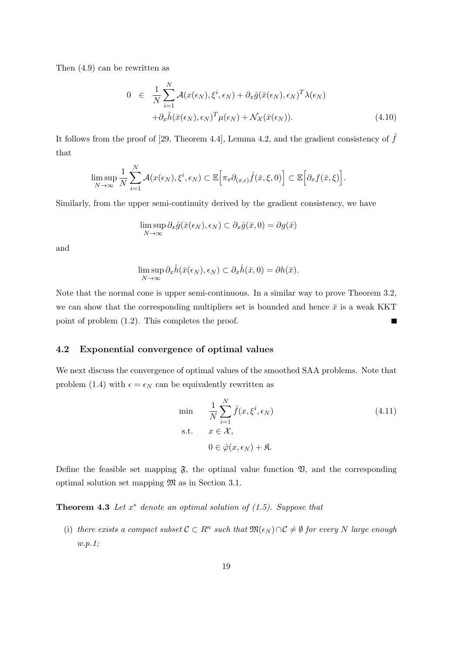Then (4.9) can be rewritten as

$$
0 \in \frac{1}{N} \sum_{i=1}^{N} \mathcal{A}(x(\epsilon_N), \xi^i, \epsilon_N) + \partial_x \hat{g}(\bar{x}(\epsilon_N), \epsilon_N)^T \lambda(\epsilon_N)
$$

$$
+ \partial_x \hat{h}(\bar{x}(\epsilon_N), \epsilon_N)^T \mu(\epsilon_N) + \mathcal{N}_{\mathcal{X}}(\bar{x}(\epsilon_N)). \tag{4.10}
$$

It follows from the proof of [29, Theorem 4.4], Lemma 4.2, and the gradient consistency of  $\hat{f}$ that

$$
\limsup_{N\to\infty}\frac{1}{N}\sum_{i=1}^N\mathcal{A}(x(\epsilon_N),\xi^i,\epsilon_N)\subset\mathbb{E}\Big[\pi_x\partial_{(x,\epsilon)}\hat{f}(\bar{x},\xi,0)\Big]\subset\mathbb{E}\Big[\partial_xf(\bar{x},\xi)\Big].
$$

Similarly, from the upper semi-continuity derived by the gradient consistency, we have

$$
\limsup_{N \to \infty} \partial_x \hat{g}(\bar{x}(\epsilon_N), \epsilon_N) \subset \partial_x \hat{g}(\bar{x}, 0) = \partial g(\bar{x})
$$

and

$$
\limsup_{N \to \infty} \partial_x \hat{h}(\bar{x}(\epsilon_N), \epsilon_N) \subset \partial_x \hat{h}(\bar{x}, 0) = \partial h(\bar{x}).
$$

Note that the normal cone is upper semi-continuous. In a similar way to prove Theorem 3.2, we can show that the corresponding multipliers set is bounded and hence  $\bar{x}$  is a weak KKT point of problem (1.2). This completes the proof. П

#### **4.2 Exponential convergence of optimal values**

We next discuss the convergence of optimal values of the smoothed SAA problems. Note that problem (1.4) with  $\epsilon = \epsilon_N$  can be equivalently rewritten as

$$
\min \quad \frac{1}{N} \sum_{i=1}^{N} \hat{f}(x, \xi^i, \epsilon_N) \n\text{s.t.} \quad x \in \mathcal{X}, \n0 \in \hat{\varphi}(x, \epsilon_N) + \mathfrak{K}.
$$
\n(4.11)

Define the feasible set mapping  $\mathfrak{F}$ , the optimal value function  $\mathfrak{V}$ , and the corresponding optimal solution set mapping M as in Section 3.1.

**Theorem 4.3** *Let x ∗ denote an optimal solution of (1.5). Suppose that*

(i) there exists a compact subset  $C \subset R^n$  such that  $\mathfrak{M}(\epsilon_N) \cap C \neq \emptyset$  for every N large enough *w.p.1;*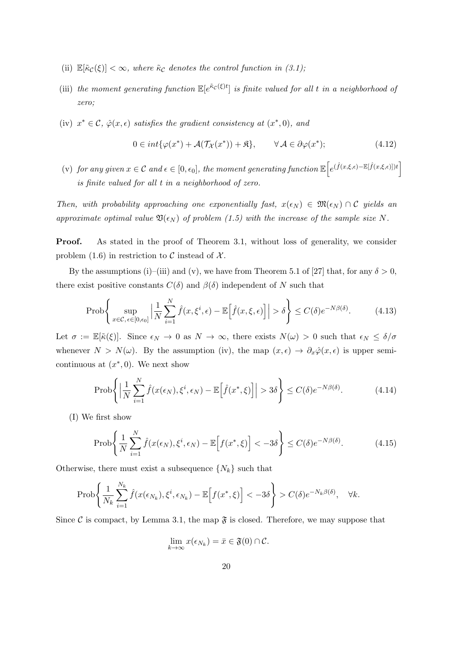- (ii)  $\mathbb{E}[\tilde{\kappa}_{\mathcal{C}}(\xi)] < \infty$ , where  $\tilde{\kappa}_{\mathcal{C}}$  denotes the control function in (3.1);
- (iii) the moment generating function  $\mathbb{E}[e^{\tilde{\kappa}_c(\xi)t}]$  is finite valued for all t in a neighborhood of *zero;*
- (iv)  $x^* \in \mathcal{C}$ ,  $\hat{\varphi}(x, \epsilon)$  *satisfies the gradient consistency at*  $(x^*, 0)$ *, and*

$$
0 \in int{\varphi(x^*)} + \mathcal{A}(\mathcal{T_X}(x^*)) + \mathfrak{K}, \qquad \forall \mathcal{A} \in \partial \varphi(x^*); \tag{4.12}
$$

 $\mathcal{L}(\mathbf{v})$  *for any given*  $x \in \mathcal{C}$  *and*  $\epsilon \in [0, \epsilon_0]$ , the moment generating function  $\mathbb{E}\left[e^{(\hat{f}(x,\xi,\epsilon)-\mathbb{E}[\hat{f}(x,\xi,\epsilon)])t}\right]$ *is finite valued for all t in a neighborhood of zero.*

*Then, with probability approaching one exponentially fast,*  $x(\epsilon_N) \in \mathfrak{M}(\epsilon_N) \cap C$  yields an *approximate optimal value*  $\mathfrak{V}(\epsilon_N)$  *of problem (1.5) with the increase of the sample size N.* 

**Proof.** As stated in the proof of Theorem 3.1, without loss of generality, we consider problem  $(1.6)$  in restriction to  $\mathcal C$  instead of  $\mathcal X$ .

By the assumptions (i)–(iii) and (v), we have from Theorem 5.1 of [27] that, for any  $\delta > 0$ , there exist positive constants  $C(\delta)$  and  $\beta(\delta)$  independent of *N* such that

$$
\text{Prob}\Bigg\{\sup_{x\in\mathcal{C},\,\epsilon\in[0,\epsilon_0]}\Big|\frac{1}{N}\sum_{i=1}^N\hat{f}(x,\xi^i,\epsilon)-\mathbb{E}\Big[\hat{f}(x,\xi,\epsilon)\Big]\Big|>\delta\Bigg\}\leq C(\delta)e^{-N\beta(\delta)}.\tag{4.13}
$$

Let  $\sigma := \mathbb{E}[\tilde{\kappa}(\xi)]$ . Since  $\epsilon_N \to 0$  as  $N \to \infty$ , there exists  $N(\omega) > 0$  such that  $\epsilon_N \leq \delta/\sigma$ whenever  $N > N(\omega)$ . By the assumption (iv), the map  $(x, \epsilon) \to \partial_x \hat{\varphi}(x, \epsilon)$  is upper semicontinuous at  $(x^*,0)$ . We next show

$$
\text{Prob}\Bigg\{\Big|\frac{1}{N}\sum_{i=1}^{N}\hat{f}(x(\epsilon_N),\xi^i,\epsilon_N) - \mathbb{E}\Big[\hat{f}(x^*,\xi)\Big]\Big| > 3\delta\Bigg\} \le C(\delta)e^{-N\beta(\delta)}.\tag{4.14}
$$

(I) We first show

$$
\text{Prob}\Bigg\{\frac{1}{N}\sum_{i=1}^{N}\hat{f}(x(\epsilon_N),\xi^i,\epsilon_N) - \mathbb{E}\Big[f(x^*,\xi)\Big] < -3\delta\Bigg\} \le C(\delta)e^{-N\beta(\delta)}.\tag{4.15}
$$

Otherwise, there must exist a subsequence  $\{N_k\}$  such that

$$
\text{Prob}\Bigg\{\frac{1}{N_k}\sum_{i=1}^{N_k}\hat{f}(x(\epsilon_{N_k}),\xi^i,\epsilon_{N_k}) - \mathbb{E}\Big[f(x^*,\xi)\Big] < -3\delta\Bigg\} > C(\delta)e^{-N_k\beta(\delta)}, \quad \forall k.
$$

Since C is compact, by Lemma 3.1, the map  $\mathfrak{F}$  is closed. Therefore, we may suppose that

$$
\lim_{k\to\infty} x(\epsilon_{N_k}) = \bar{x} \in \mathfrak{F}(0) \cap \mathcal{C}.
$$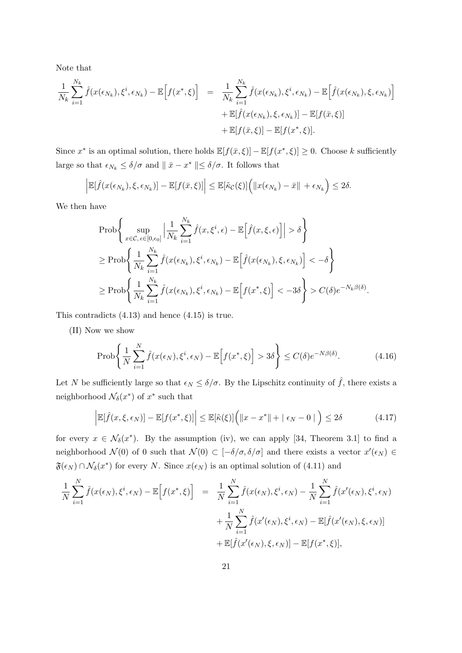Note that

$$
\frac{1}{N_k} \sum_{i=1}^{N_k} \hat{f}(x(\epsilon_{N_k}), \xi^i, \epsilon_{N_k}) - \mathbb{E}\Big[f(x^*, \xi)\Big] = \frac{1}{N_k} \sum_{i=1}^{N_k} \hat{f}(x(\epsilon_{N_k}), \xi^i, \epsilon_{N_k}) - \mathbb{E}\Big[\hat{f}(x(\epsilon_{N_k}), \xi, \epsilon_{N_k})\Big] \n+ \mathbb{E}[\hat{f}(x(\epsilon_{N_k}), \xi, \epsilon_{N_k})] - \mathbb{E}[f(\bar{x}, \xi)] \n+ \mathbb{E}[f(\bar{x}, \xi)] - \mathbb{E}[f(x^*, \xi)].
$$

Since  $x^*$  is an optimal solution, there holds  $\mathbb{E}[f(\bar{x}, \xi)] - \mathbb{E}[f(x^*, \xi)] \geq 0$ . Choose *k* sufficiently large so that  $\epsilon_{N_k} \le \delta/\sigma$  and  $\parallel \bar{x} - x^* \parallel \le \delta/\sigma$ . It follows that

$$
\left|\mathbb{E}[\hat{f}(x(\epsilon_{N_k}),\xi,\epsilon_{N_k})] - \mathbb{E}[f(\bar{x},\xi)]\right| \leq \mathbb{E}[\tilde{\kappa}_{\mathcal{C}}(\xi)] \Big(\|x(\epsilon_{N_k}) - \bar{x}\| + \epsilon_{N_k}\Big) \leq 2\delta.
$$

We then have

$$
\begin{split} &\text{Prob}\Bigg\{\sup_{x\in\mathcal{C},\,\epsilon\in[0,\epsilon_{0}]} \Big|\frac{1}{N_{k}}\sum_{i=1}^{N_{k}}\hat{f}(x,\xi^{i},\epsilon)-\mathbb{E}\Big[\hat{f}(x,\xi,\epsilon)\Big]\Big|>\delta\Bigg\}\\ &\geq \text{Prob}\Bigg\{\frac{1}{N_{k}}\sum_{i=1}^{N_{k}}\hat{f}(x(\epsilon_{N_{k}}),\xi^{i},\epsilon_{N_{k}})-\mathbb{E}\Big[\hat{f}(x(\epsilon_{N_{k}}),\xi,\epsilon_{N_{k}})\Big]<-\delta\Bigg\}\\ &\geq \text{Prob}\Bigg\{\frac{1}{N_{k}}\sum_{i=1}^{N_{k}}\hat{f}(x(\epsilon_{N_{k}}),\xi^{i},\epsilon_{N_{k}})-\mathbb{E}\Big[f(x^{*},\xi)\Big]<-3\delta\Bigg\}>C(\delta)e^{-N_{k}\beta(\delta)}. \end{split}
$$

This contradicts (4.13) and hence (4.15) is true.

(II) Now we show

$$
\text{Prob}\Bigg\{\frac{1}{N}\sum_{i=1}^{N}\hat{f}(x(\epsilon_N),\xi^i,\epsilon_N) - \mathbb{E}\Big[f(x^*,\xi)\Big] > 3\delta\Bigg\} \le C(\delta)e^{-N\beta(\delta)}.\tag{4.16}
$$

Let *N* be sufficiently large so that  $\epsilon_N \leq \delta/\sigma$ . By the Lipschitz continuity of  $\hat{f}$ , there exists a neighborhood  $\mathcal{N}_{\delta}(x^*)$  of  $x^*$  such that

$$
\left| \mathbb{E}[\hat{f}(x,\xi,\epsilon_N)] - \mathbb{E}[f(x^*,\xi)] \right| \leq \mathbb{E}[\tilde{\kappa}(\xi)] \Big( \|x - x^*\| + |\epsilon_N - 0| \Big) \leq 2\delta \tag{4.17}
$$

for every  $x \in \mathcal{N}_{\delta}(x^*)$ . By the assumption (iv), we can apply [34, Theorem 3.1] to find a neighborhood  $\mathcal{N}(0)$  of 0 such that  $\mathcal{N}(0) \subset [-\delta/\sigma, \delta/\sigma]$  and there exists a vector  $x'(\epsilon_N) \in$  $\mathfrak{F}(\epsilon_N) \cap \mathcal{N}_{\delta}(x^*)$  for every *N*. Since  $x(\epsilon_N)$  is an optimal solution of (4.11) and

$$
\frac{1}{N} \sum_{i=1}^{N} \hat{f}(x(\epsilon_N), \xi^i, \epsilon_N) - \mathbb{E}\Big[f(x^*, \xi)\Big] = \frac{1}{N} \sum_{i=1}^{N} \hat{f}(x(\epsilon_N), \xi^i, \epsilon_N) - \frac{1}{N} \sum_{i=1}^{N} \hat{f}(x'(\epsilon_N), \xi^i, \epsilon_N) \n+ \frac{1}{N} \sum_{i=1}^{N} \hat{f}(x'(\epsilon_N), \xi^i, \epsilon_N) - \mathbb{E}[\hat{f}(x'(\epsilon_N), \xi, \epsilon_N)] \n+ \mathbb{E}[\hat{f}(x'(\epsilon_N), \xi, \epsilon_N)] - \mathbb{E}[f(x^*, \xi)],
$$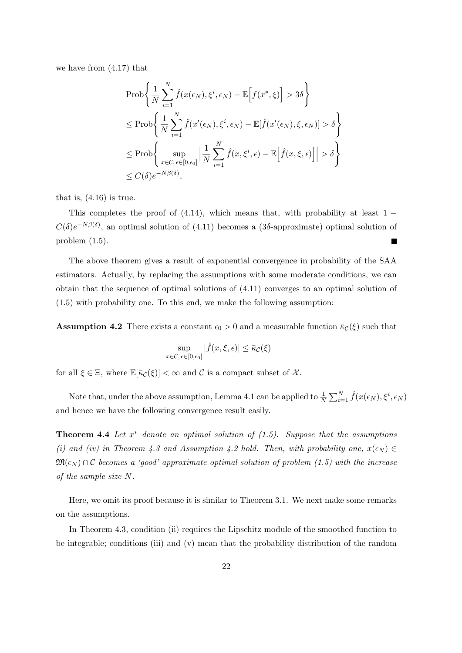we have from (4.17) that

$$
\begin{split} &\text{Prob}\bigg\{\frac{1}{N}\sum_{i=1}^{N}\hat{f}(x(\epsilon_N),\xi^i,\epsilon_N)-\mathbb{E}\Big[f(x^*,\xi)\Big]>3\delta\bigg\}\\ &\leq \text{Prob}\bigg\{\frac{1}{N}\sum_{i=1}^{N}\hat{f}(x'(\epsilon_N),\xi^i,\epsilon_N)-\mathbb{E}[\hat{f}(x'(\epsilon_N),\xi,\epsilon_N)]>\delta\bigg\}\\ &\leq \text{Prob}\bigg\{\sup_{x\in\mathcal{C},\,\epsilon\in[0,\epsilon_0]}\Big|\frac{1}{N}\sum_{i=1}^{N}\hat{f}(x,\xi^i,\epsilon)-\mathbb{E}\Big[\hat{f}(x,\xi,\epsilon)\Big]\Big|>\delta\bigg\}\\ &\leq C(\delta)e^{-N\beta(\delta)}, \end{split}
$$

that is,  $(4.16)$  is true.

This completes the proof of (4.14), which means that, with probability at least 1 *−*  $C(\delta)e^{-N\beta(\delta)}$ , an optimal solution of (4.11) becomes a (3*δ*-approximate) optimal solution of problem (1.5).

The above theorem gives a result of exponential convergence in probability of the SAA estimators. Actually, by replacing the assumptions with some moderate conditions, we can obtain that the sequence of optimal solutions of (4.11) converges to an optimal solution of (1.5) with probability one. To this end, we make the following assumption:

**Assumption 4.2** There exists a constant  $\epsilon_0 > 0$  and a measurable function  $\bar{\kappa}_c(\xi)$  such that

$$
\sup_{x \in \mathcal{C}, \epsilon \in [0, \epsilon_0]} |\hat{f}(x, \xi, \epsilon)| \le \bar{\kappa}_{\mathcal{C}}(\xi)
$$

for all  $\xi \in \Xi$ , where  $\mathbb{E}[\bar{\kappa}_\mathcal{C}(\xi)] < \infty$  and C is a compact subset of X.

Note that, under the above assumption, Lemma 4.1 can be applied to  $\frac{1}{N}\sum_{i=1}^{N} \hat{f}(x(\epsilon_N), \xi^i, \epsilon_N)$ and hence we have the following convergence result easily.

**Theorem 4.4** *Let x ∗ denote an optimal solution of (1.5). Suppose that the assumptions (i) and (iv) in Theorem 4.3 and Assumption 4.2 hold. Then, with probability one,*  $x(\epsilon_N) \in$  $\mathfrak{M}(\epsilon_N) \cap \mathcal{C}$  becomes a 'good' approximate optimal solution of problem (1.5) with the increase *of the sample size N.*

Here, we omit its proof because it is similar to Theorem 3.1. We next make some remarks on the assumptions.

In Theorem 4.3, condition (ii) requires the Lipschitz module of the smoothed function to be integrable; conditions (iii) and (v) mean that the probability distribution of the random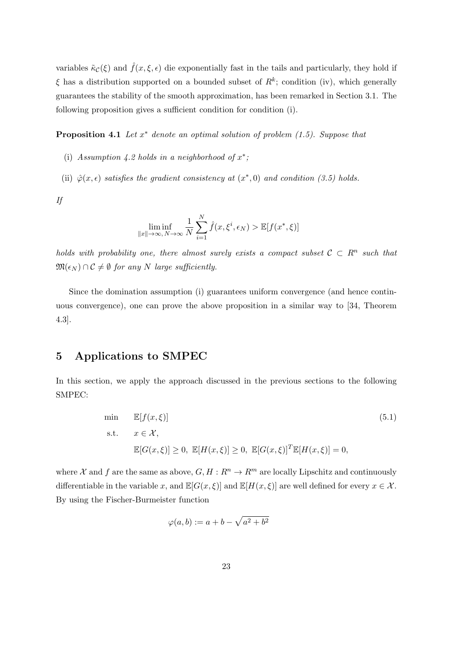variables  $\tilde{\kappa}_c(\xi)$  and  $\hat{f}(x,\xi,\epsilon)$  die exponentially fast in the tails and particularly, they hold if *ξ* has a distribution supported on a bounded subset of *R<sup>k</sup>* ; condition (iv), which generally guarantees the stability of the smooth approximation, has been remarked in Section 3.1. The following proposition gives a sufficient condition for condition (i).

**Proposition 4.1** *Let x ∗ denote an optimal solution of problem (1.5). Suppose that*

- (i) Assumption 4.2 holds in a neighborhood of  $x^*$ ;
- (ii)  $\hat{\varphi}(x, \epsilon)$  *satisfies the gradient consistency at*  $(x^*, 0)$  *and condition (3.5) holds.*

*If*

$$
\liminf_{\|x\| \to \infty, N \to \infty} \frac{1}{N} \sum_{i=1}^{N} \hat{f}(x, \xi^i, \epsilon_N) > \mathbb{E}[f(x^*, \xi)]
$$

*holds with probability one, there almost surely exists a compact subset*  $C \subset R^n$  such that  $\mathfrak{M}(\epsilon_N) \cap C \neq \emptyset$  for any *N* large sufficiently.

Since the domination assumption (i) guarantees uniform convergence (and hence continuous convergence), one can prove the above proposition in a similar way to [34, Theorem 4.3].

## **5 Applications to SMPEC**

In this section, we apply the approach discussed in the previous sections to the following SMPEC:

min 
$$
\mathbb{E}[f(x,\xi)]
$$
 (5.1)  
s.t.  $x \in \mathcal{X}$ ,  
 $\mathbb{E}[G(x,\xi)] \ge 0$ ,  $\mathbb{E}[H(x,\xi)] \ge 0$ ,  $\mathbb{E}[G(x,\xi)]^T \mathbb{E}[H(x,\xi)] = 0$ ,

where *X* and *f* are the same as above,  $G, H: R^n \to R^m$  are locally Lipschitz and continuously differentiable in the variable *x*, and  $\mathbb{E}[G(x,\xi)]$  and  $\mathbb{E}[H(x,\xi)]$  are well defined for every  $x \in \mathcal{X}$ . By using the Fischer-Burmeister function

$$
\varphi(a,b) := a + b - \sqrt{a^2 + b^2}
$$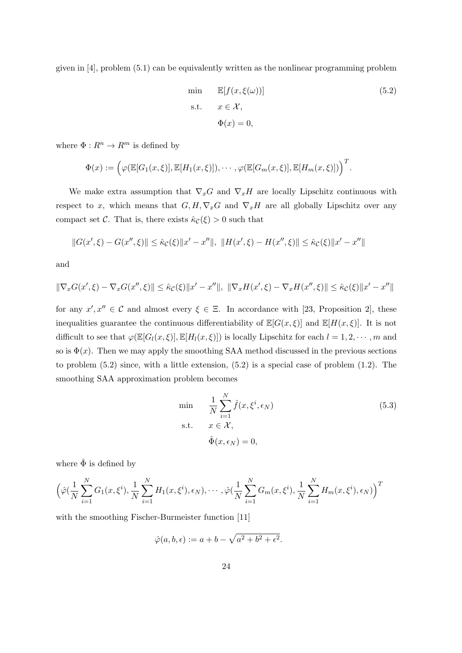given in [4], problem (5.1) can be equivalently written as the nonlinear programming problem

min 
$$
\mathbb{E}[f(x, \xi(\omega))]
$$
 (5.2)  
s.t.  $x \in \mathcal{X}$ ,  
 $\Phi(x) = 0$ ,

where  $\Phi: R^n \rightarrow R^m$  is defined by

$$
\Phi(x) := \Big(\varphi(\mathbb{E}[G_1(x,\xi)], \mathbb{E}[H_1(x,\xi)]), \cdots, \varphi(\mathbb{E}[G_m(x,\xi)], \mathbb{E}[H_m(x,\xi)])\Big)^T.
$$

We make extra assumption that  $\nabla_x G$  and  $\nabla_x H$  are locally Lipschitz continuous with respect to *x*, which means that  $G, H, \nabla_x G$  and  $\nabla_x H$  are all globally Lipschitz over any compact set *C*. That is, there exists  $\hat{\kappa}_c(\xi) > 0$  such that

$$
||G(x',\xi) - G(x'',\xi)|| \leq \hat{\kappa}_{\mathcal{C}}(\xi) ||x' - x''||, ||H(x',\xi) - H(x'',\xi)|| \leq \hat{\kappa}_{\mathcal{C}}(\xi) ||x' - x''||
$$

and

$$
\|\nabla_x G(x',\xi) - \nabla_x G(x'',\xi)\| \leq \hat{\kappa}_{\mathcal{C}}(\xi) \|x' - x''\|, \ \|\nabla_x H(x',\xi) - \nabla_x H(x'',\xi)\| \leq \hat{\kappa}_{\mathcal{C}}(\xi) \|x' - x''\|
$$

for any  $x', x'' \in \mathcal{C}$  and almost every  $\xi \in \Xi$ . In accordance with [23, Proposition 2], these inequalities guarantee the continuous differentiability of  $\mathbb{E}[G(x,\xi)]$  and  $\mathbb{E}[H(x,\xi)]$ . It is not difficult to see that  $\varphi(\mathbb{E}[G_l(x,\xi)], \mathbb{E}[H_l(x,\xi)])$  is locally Lipschitz for each  $l = 1, 2, \dots, m$  and so is  $\Phi(x)$ . Then we may apply the smoothing SAA method discussed in the previous sections to problem  $(5.2)$  since, with a little extension,  $(5.2)$  is a special case of problem  $(1.2)$ . The smoothing SAA approximation problem becomes

$$
\min \quad \frac{1}{N} \sum_{i=1}^{N} \hat{f}(x, \xi^i, \epsilon_N)
$$
\n
$$
\text{s.t.} \quad x \in \mathcal{X},
$$
\n
$$
\hat{\Phi}(x, \epsilon_N) = 0,
$$
\n
$$
(5.3)
$$

where  $\hat{\Phi}$  is defined by

$$
\left(\hat{\varphi}\left(\frac{1}{N}\sum_{i=1}^{N}G_1(x,\xi^i),\frac{1}{N}\sum_{i=1}^{N}H_1(x,\xi^i),\epsilon_N\right),\cdots,\hat{\varphi}\left(\frac{1}{N}\sum_{i=1}^{N}G_m(x,\xi^i),\frac{1}{N}\sum_{i=1}^{N}H_m(x,\xi^i),\epsilon_N\right)\right)^T
$$

with the smoothing Fischer-Burmeister function [11]

$$
\hat{\varphi}(a,b,\epsilon) := a + b - \sqrt{a^2 + b^2 + \epsilon^2}.
$$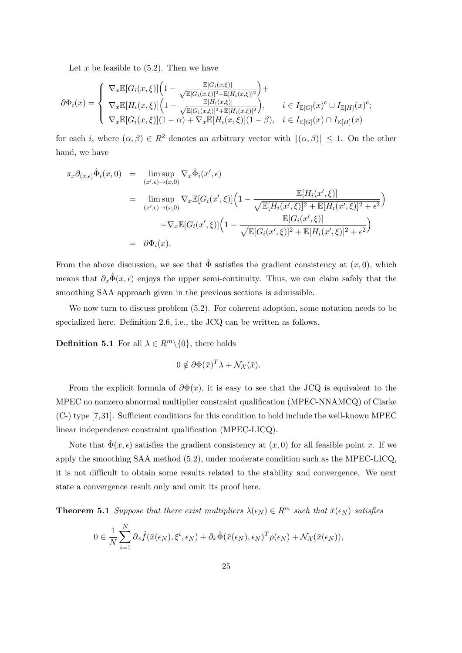Let  $x$  be feasible to  $(5.2)$ . Then we have

$$
\partial \Phi_i(x) = \begin{cases} \nabla_x \mathbb{E}[G_i(x,\xi)] \left( 1 - \frac{\mathbb{E}[G_i(x,\xi)]}{\sqrt{\mathbb{E}[G_i(x,\xi)]^2 + \mathbb{E}[H_i(x,\xi)]^2}} \right) + \\ \nabla_x \mathbb{E}[H_i(x,\xi)] \left( 1 - \frac{\mathbb{E}[H_i(x,\xi)]}{\sqrt{\mathbb{E}[G_i(x,\xi)]^2 + \mathbb{E}[H_i(x,\xi)]^2}} \right), & i \in I_{\mathbb{E}[G]}(x)^c \cup I_{\mathbb{E}[H]}(x)^c; \\ \nabla_x \mathbb{E}[G_i(x,\xi)] (1-\alpha) + \nabla_x \mathbb{E}[H_i(x,\xi)] (1-\beta), & i \in I_{\mathbb{E}[G]}(x) \cap I_{\mathbb{E}[H]}(x) \n\end{cases}
$$

for each *i*, where  $(\alpha, \beta) \in R^2$  denotes an arbitrary vector with  $\|(\alpha, \beta)\| \leq 1$ . On the other hand, we have

$$
\pi_x \partial_{(x,\epsilon)} \hat{\Phi}_i(x,0) = \limsup_{(x',\epsilon) \to (x,0)} \nabla_x \hat{\Phi}_i(x',\epsilon)
$$
\n
$$
= \limsup_{(x',\epsilon) \to (x,0)} \nabla_x \mathbb{E}[G_i(x',\xi)] \left(1 - \frac{\mathbb{E}[H_i(x',\xi)]}{\sqrt{\mathbb{E}[H_i(x',\xi)]^2 + \mathbb{E}[H_i(x',\xi)]^2 + \epsilon^2}}\right) + \nabla_x \mathbb{E}[G_i(x',\xi)] \left(1 - \frac{\mathbb{E}[G_i(x',\xi)]}{\sqrt{\mathbb{E}[G_i(x',\xi)]^2 + \mathbb{E}[H_i(x',\xi)]^2 + \epsilon^2}}\right)
$$
\n
$$
= \partial \Phi_i(x).
$$

From the above discussion, we see that  $\hat{\Phi}$  satisfies the gradient consistency at  $(x, 0)$ , which means that  $\partial_x \hat{\Phi}(x, \epsilon)$  enjoys the upper semi-continuity. Thus, we can claim safely that the smoothing SAA approach given in the previous sections is admissible.

We now turn to discuss problem  $(5.2)$ . For coherent adoption, some notation needs to be specialized here. Definition 2.6, i.e., the JCQ can be written as follows.

**Definition 5.1** For all  $\lambda \in R^m \setminus \{0\}$ , there holds

$$
0 \notin \partial \Phi(\bar{x})^T \lambda + \mathcal{N}_{\mathcal{X}}(\bar{x}).
$$

From the explicit formula of  $\partial \Phi(x)$ , it is easy to see that the JCQ is equivalent to the MPEC no nonzero abnormal multiplier constraint qualification (MPEC-NNAMCQ) of Clarke (C-) type [7,31]. Sufficient conditions for this condition to hold include the well-known MPEC linear independence constraint qualification (MPEC-LICQ).

Note that  $\hat{\Phi}(x, \epsilon)$  satisfies the gradient consistency at  $(x, 0)$  for all feasible point *x*. If we apply the smoothing SAA method (5.2), under moderate condition such as the MPEC-LICQ, it is not difficult to obtain some results related to the stability and convergence. We next state a convergence result only and omit its proof here.

**Theorem 5.1** *Suppose that there exist multipliers*  $\lambda(\epsilon_N) \in R^m$  *such that*  $\bar{x}(\epsilon_N)$  *satisfies* 

$$
0 \in \frac{1}{N} \sum_{i=1}^{N} \partial_x \hat{f}(\bar{x}(\epsilon_N), \xi^i, \epsilon_N) + \partial_x \hat{\Phi}(\bar{x}(\epsilon_N), \epsilon_N)^T \rho(\epsilon_N) + \mathcal{N}_{\mathcal{X}}(\bar{x}(\epsilon_N)),
$$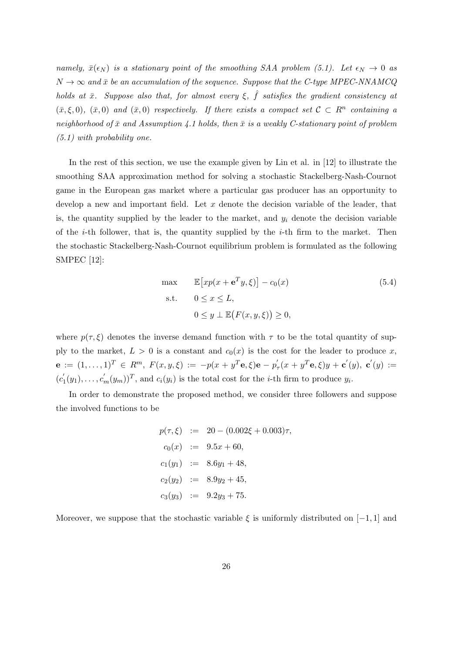*namely,*  $\bar{x}(\epsilon_N)$  *is a stationary point of the smoothing SAA problem (5.1). Let*  $\epsilon_N \to 0$  *as*  $N \to \infty$  and  $\bar{x}$  be an accumulation of the sequence. Suppose that the C-type MPEC-NNAMCQ *holds at*  $\bar{x}$ *. Suppose also that, for almost every*  $\xi$ ,  $\hat{f}$  *satisfies the gradient consistency at*  $(\bar{x}, \xi, 0)$ ,  $(\bar{x}, 0)$  *and*  $(\bar{x}, 0)$  *respectively. If there exists a compact set*  $C \subset R^n$  *containing a neighborhood of*  $\bar{x}$  *and Assumption 4.1 holds, then*  $\bar{x}$  *is a weakly C-stationary point of problem (5.1) with probability one.*

In the rest of this section, we use the example given by Lin et al. in [12] to illustrate the smoothing SAA approximation method for solving a stochastic Stackelberg-Nash-Cournot game in the European gas market where a particular gas producer has an opportunity to develop a new and important field. Let *x* denote the decision variable of the leader, that is, the quantity supplied by the leader to the market, and  $y_i$  denote the decision variable of the *i*-th follower, that is, the quantity supplied by the *i*-th firm to the market. Then the stochastic Stackelberg-Nash-Cournot equilibrium problem is formulated as the following SMPEC [12]:

$$
\max \qquad \mathbb{E}\left[xp(x+\mathbf{e}^T y,\xi)\right] - c_0(x)
$$
\n
$$
\text{s.t.} \qquad 0 \le x \le L,
$$
\n
$$
0 \le y \perp \mathbb{E}\left(F(x,y,\xi)\right) \ge 0,
$$
\n
$$
(5.4)
$$

where  $p(\tau, \xi)$  denotes the inverse demand function with  $\tau$  to be the total quantity of supply to the market,  $L > 0$  is a constant and  $c_0(x)$  is the cost for the leader to produce x,  ${\bf e}\,:=\,(1,\ldots,1)^T\,\in\,R^m,\;F(x,y,\xi)\,:=\,-p(x+y^T{\bf e},\xi){\bf e}\,-\,p_{\tau}^{'}(x+y^T{\bf e},\xi)y\,+\,{\bf c}^{'}(y),\;{\bf c}^{'}(y)\,:=\,$  $(c'_1(y_1), \ldots, c'_m(y_m))^T$ , and  $c_i(y_i)$  is the total cost for the *i*-th firm to produce  $y_i$ .

In order to demonstrate the proposed method, we consider three followers and suppose the involved functions to be

$$
p(\tau, \xi) := 20 - (0.002\xi + 0.003)\tau,
$$
  
\n
$$
c_0(x) := 9.5x + 60,
$$
  
\n
$$
c_1(y_1) := 8.6y_1 + 48,
$$
  
\n
$$
c_2(y_2) := 8.9y_2 + 45,
$$
  
\n
$$
c_3(y_3) := 9.2y_3 + 75.
$$

Moreover, we suppose that the stochastic variable  $\xi$  is uniformly distributed on [−1, 1] and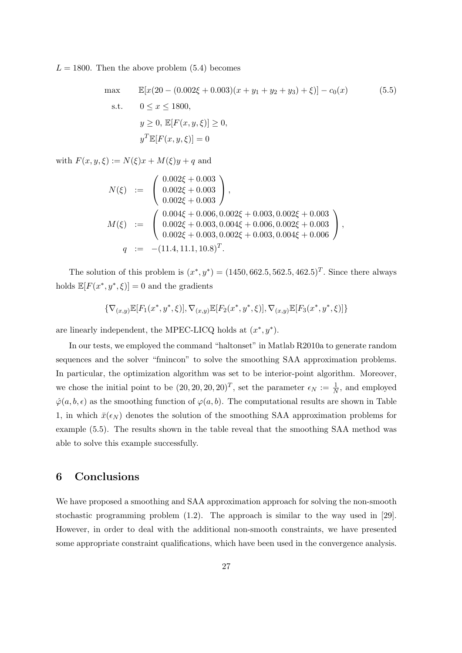$L = 1800$ . Then the above problem  $(5.4)$  becomes

max 
$$
\mathbb{E}[x(20 - (0.002\xi + 0.003)(x + y_1 + y_2 + y_3) + \xi)] - c_0(x)
$$
 (5.5)  
s.t.  $0 \le x \le 1800$ ,  
 $y \ge 0, \mathbb{E}[F(x, y, \xi)] \ge 0$ ,  
 $y^T \mathbb{E}[F(x, y, \xi)] = 0$ 

with  $F(x, y, \xi) := N(\xi)x + M(\xi)y + q$  and

$$
N(\xi) := \begin{pmatrix} 0.002\xi + 0.003 \\ 0.002\xi + 0.003 \\ 0.002\xi + 0.003 \end{pmatrix},
$$
  
\n
$$
M(\xi) := \begin{pmatrix} 0.004\xi + 0.006, 0.002\xi + 0.003, 0.002\xi + 0.003 \\ 0.002\xi + 0.003, 0.004\xi + 0.006, 0.002\xi + 0.003 \\ 0.002\xi + 0.003, 0.002\xi + 0.003, 0.004\xi + 0.006 \end{pmatrix},
$$
  
\n
$$
q := -(11.4, 11.1, 10.8)^T.
$$

The solution of this problem is  $(x^*, y^*) = (1450, 662.5, 562.5, 462.5)^T$ . Since there always holds  $\mathbb{E}[F(x^*, y^*, \xi)] = 0$  and the gradients

$$
\{\nabla_{(x,y)}\mathbb{E}[F_1(x^*,y^*,\xi)],\nabla_{(x,y)}\mathbb{E}[F_2(x^*,y^*,\xi)],\nabla_{(x,y)}\mathbb{E}[F_3(x^*,y^*,\xi)]\}
$$

are linearly independent, the MPEC-LICQ holds at  $(x^*, y^*)$ .

In our tests, we employed the command "haltonset" in Matlab R2010a to generate random sequences and the solver "fmincon" to solve the smoothing SAA approximation problems. In particular, the optimization algorithm was set to be interior-point algorithm. Moreover, we chose the initial point to be  $(20, 20, 20, 20)^T$ , set the parameter  $\epsilon_N := \frac{1}{N}$ , and employed  $\hat{\varphi}(a, b, \epsilon)$  as the smoothing function of  $\varphi(a, b)$ . The computational results are shown in Table 1, in which  $\bar{x}(\epsilon_N)$  denotes the solution of the smoothing SAA approximation problems for example (5.5). The results shown in the table reveal that the smoothing SAA method was able to solve this example successfully.

#### **6 Conclusions**

We have proposed a smoothing and SAA approximation approach for solving the non-smooth stochastic programming problem (1.2). The approach is similar to the way used in [29]. However, in order to deal with the additional non-smooth constraints, we have presented some appropriate constraint qualifications, which have been used in the convergence analysis.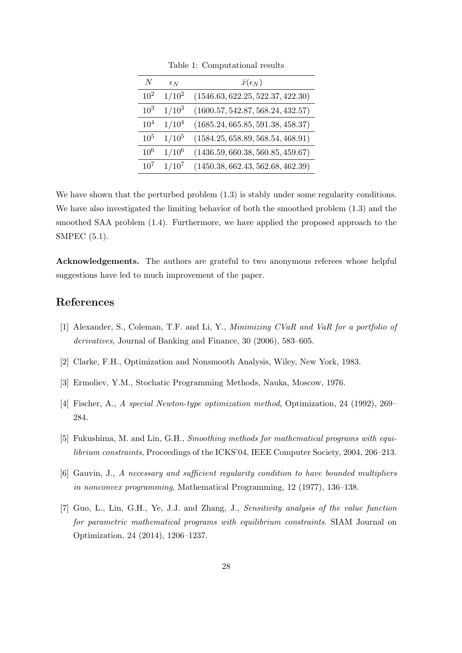| N               | $\epsilon_N$ | $\bar{x}(\epsilon_N)$             |
|-----------------|--------------|-----------------------------------|
| $10^{2}$        | $1/10^2$     | (1546.63, 622.25, 522.37, 422.30) |
| $10^{3}$        | $1/10^3$     | (1600.57, 542.87, 568.24, 432.57) |
| 10 <sup>4</sup> | $1/10^4$     | (1685.24, 665.85, 591.38, 458.37) |
| $10^{5}$        | $1/10^5$     | (1584.25, 658.89, 568.54, 468.91) |
| $10^{6}$        | $1/10^6$     | (1436.59, 660.38, 560.85, 459.67) |
| $10^{7}$        | $1/10^{7}$   | (1450.38, 662.43, 562.68, 462.39) |

Table 1: Computational results

We have shown that the perturbed problem  $(1.3)$  is stably under some regularity conditions. We have also investigated the limiting behavior of both the smoothed problem (1.3) and the smoothed SAA problem (1.4). Furthermore, we have applied the proposed approach to the SMPEC (5.1).

**Acknowledgements.** The authors are grateful to two anonymous referees whose helpful suggestions have led to much improvement of the paper.

### **References**

- [1] Alexander, S., Coleman, T.F. and Li, Y., *Minimizing CVaR and VaR for a portfolio of derivatives*, Journal of Banking and Finance, 30 (2006), 583–605.
- [2] Clarke, F.H., Optimization and Nonsmooth Analysis, Wiley, New York, 1983.
- [3] Ermoliev, Y.M., Stochatic Programming Methods, Nauka, Moscow, 1976.
- [4] Fischer, A., *A special Newton-type optimization method*, Optimization, 24 (1992), 269– 284.
- [5] Fukushima, M. and Lin, G.H., *Smoothing methods for mathematical programs with equilibrium constraints*, Proceedings of the ICKS'04, IEEE Computer Society, 2004, 206–213.
- [6] Gauvin, J., *A necessary and sufficient regularity condition to have bounded multipliers in nonconvex programming*, Mathematical Programming, 12 (1977), 136–138.
- [7] Guo, L., Lin, G.H., Ye, J.J. and Zhang, J., *Sensitivity analysis of the value function for parametric mathematical programs with equilibrium constraints*. SIAM Journal on Optimization, 24 (2014), 1206–1237.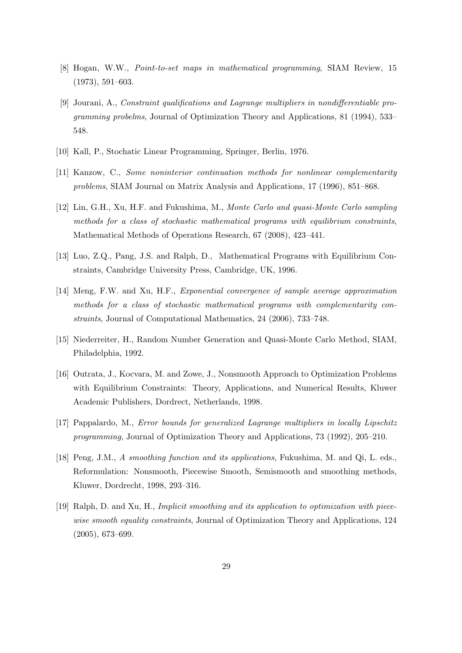- [8] Hogan, W.W., *Point-to-set maps in mathematical programming*, SIAM Review, 15 (1973), 591–603.
- [9] Jourani, A., *Constraint qualifications and Lagrange multipliers in nondifferentiable programming probelms*, Journal of Optimization Theory and Applications, 81 (1994), 533– 548.
- [10] Kall, P., Stochatic Linear Programming, Springer, Berlin, 1976.
- [11] Kanzow, C., *Some noninterior continuation methods for nonlinear complementarity problems*, SIAM Journal on Matrix Analysis and Applications, 17 (1996), 851–868.
- [12] Lin, G.H., Xu, H.F. and Fukushima, M., *Monte Carlo and quasi-Monte Carlo sampling methods for a class of stochastic mathematical programs with equilibrium constraints*, Mathematical Methods of Operations Research, 67 (2008), 423–441.
- [13] Luo, Z.Q., Pang, J.S. and Ralph, D., Mathematical Programs with Equilibrium Constraints, Cambridge University Press, Cambridge, UK, 1996.
- [14] Meng, F.W. and Xu, H.F., *Exponential convergence of sample average approximation methods for a class of stochastic mathematical programs with complementarity constraints*, Journal of Computational Mathematics, 24 (2006), 733–748.
- [15] Niederreiter, H., Random Number Generation and Quasi-Monte Carlo Method, SIAM, Philadelphia, 1992.
- [16] Outrata, J., Kocvara, M. and Zowe, J., Nonsmooth Approach to Optimization Problems with Equilibrium Constraints: Theory, Applications, and Numerical Results, Kluwer Academic Publishers, Dordrect, Netherlands, 1998.
- [17] Pappalardo, M., *Error bounds for generalized Lagrange multipliers in locally Lipschitz programming*, Journal of Optimization Theory and Applications, 73 (1992), 205–210.
- [18] Peng, J.M., *A smoothing function and its applications*, Fukushima, M. and Qi, L. eds., Reformulation: Nonsmooth, Piecewise Smooth, Semismooth and smoothing methods, Kluwer, Dordrecht, 1998, 293–316.
- [19] Ralph, D. and Xu, H., *Implicit smoothing and its application to optimization with piecewise smooth equality constraints*, Journal of Optimization Theory and Applications, 124 (2005), 673–699.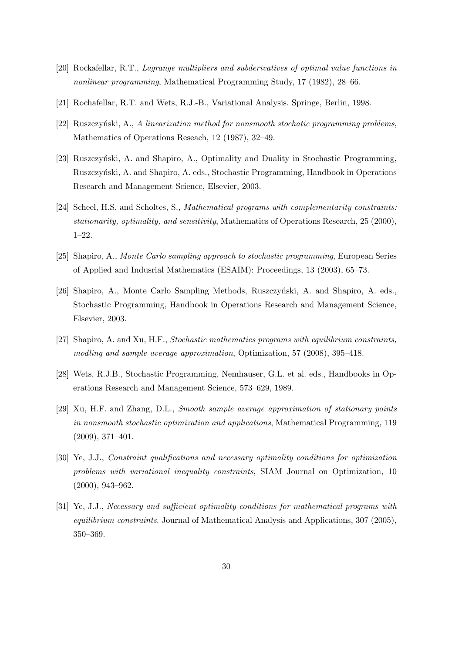- [20] Rockafellar, R.T., *Lagrange multipliers and subderivatives of optimal value functions in nonlinear programming*, Mathematical Programming Study, 17 (1982), 28–66.
- [21] Rochafellar, R.T. and Wets, R.J.-B., Variational Analysis. Springe, Berlin, 1998.
- [22] Ruszczyński, A., *A linearization method for nonsmooth stochatic programming problems*, Mathematics of Operations Reseach, 12 (1987), 32–49.
- [23] Ruszczyński, A. and Shapiro, A., Optimality and Duality in Stochastic Programming, Ruszczyński, A. and Shapiro, A. eds., Stochastic Programming, Handbook in Operations Research and Management Science, Elsevier, 2003.
- [24] Scheel, H.S. and Scholtes, S., *Mathematical programs with complementarity constraints: stationarity, optimality, and sensitivity*, Mathematics of Operations Research, 25 (2000), 1–22.
- [25] Shapiro, A., *Monte Carlo sampling approach to stochastic programming*, European Series of Applied and Indusrial Mathematics (ESAIM): Proceedings, 13 (2003), 65–73.
- [26] Shapiro, A., Monte Carlo Sampling Methods, Ruszczyński, A. and Shapiro, A. eds., Stochastic Programming, Handbook in Operations Research and Management Science, Elsevier, 2003.
- [27] Shapiro, A. and Xu, H.F., *Stochastic mathematics programs with equilibrium constraints, modling and sample average approximation*, Optimization, 57 (2008), 395–418.
- [28] Wets, R.J.B., Stochastic Programming, Nemhauser, G.L. et al. eds., Handbooks in Operations Research and Management Science, 573–629, 1989.
- [29] Xu, H.F. and Zhang, D.L., *Smooth sample average approximation of stationary points in nonsmooth stochastic optimization and applications*, Mathematical Programming, 119 (2009), 371–401.
- [30] Ye, J.J., *Constraint qualifications and necessary optimality conditions for optimization problems with variational inequality constraints*, SIAM Journal on Optimization, 10 (2000), 943–962.
- [31] Ye, J.J., *Necessary and sufficient optimality conditions for mathematical programs with equilibrium constraints*. Journal of Mathematical Analysis and Applications, 307 (2005), 350–369.